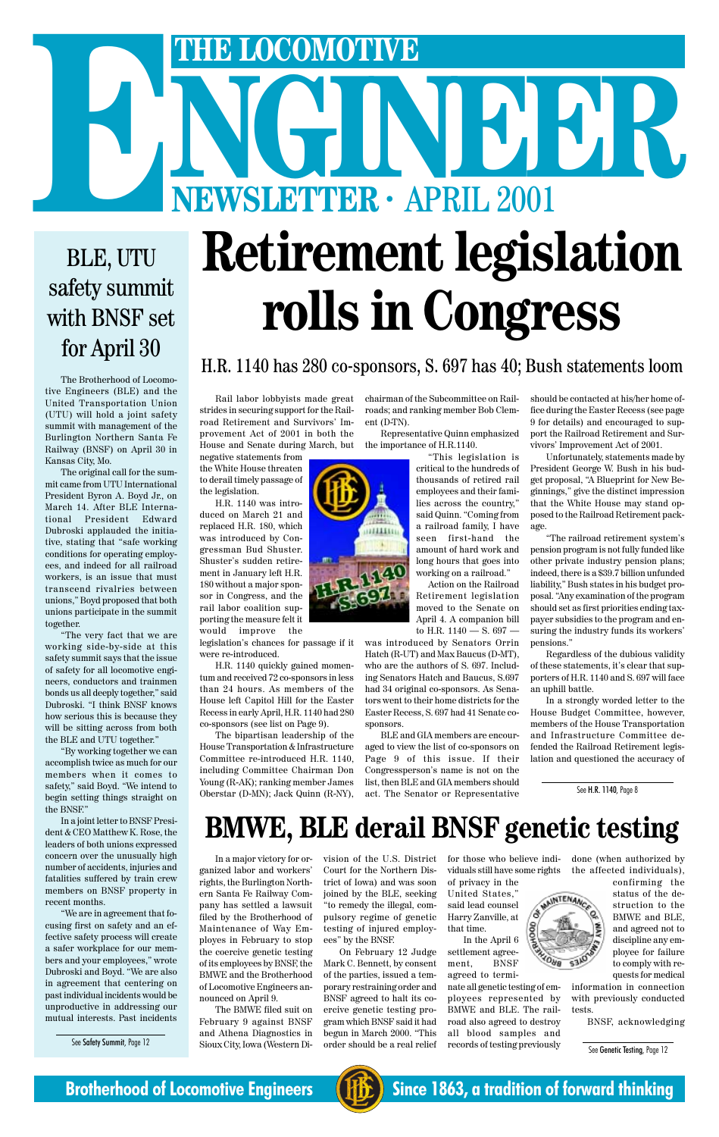# **Retirement legislation rolls in Congress**

# THE LOCOMOTIVE<br>
NEWSLETTER · APRIL 2001 **ENEWSLETTER ·** APRIL 2001

### BLE, UTU safety summit with BNSF set for April 30

In a major victory for organized labor and workers' rights, the Burlington Northern Santa Fe Railway Company has settled a lawsuit filed by the Brotherhood of Maintenance of Way Employes in February to stop the coercive genetic testing of its employees by BNSF, the BMWE and the Brotherhood of Locomotive Engineers announced on April 9.

The BMWE filed suit on February 9 against BNSF and Athena Diagnostics in Sioux City, Iowa (Western Division of the U.S. District Court for the Northern District of Iowa) and was soon joined by the BLE, seeking "to remedy the illegal, compulsory regime of genetic testing of injured employees" by the BNSF.

On February 12 Judge Mark C. Bennett, by consent of the parties, issued a temporary restraining order and BNSF agreed to halt its coercive genetic testing program which BNSF said it had begun in March 2000. "This order should be a real relief

for those who believe indi-done (when authorized by viduals still have some rights the affected individuals), of privacy in the

United States," said lead counsel Harry Zanville, at that time.

> In the April 6 settlement agreement, BNSF agreed to termi-

nate all genetic testing of employees represented by BMWE and BLE. The railroad also agreed to destroy all blood samples and records of testing previously

confirming the



status of the destruction to the BMWE and BLE, and agreed not to discipline any employee for failure to comply with requests for medical

information in connection with previously conducted tests.

BNSF, acknowledging

Rail labor lobbyists made great strides in securing support for the Railroad Retirement and Survivors' Improvement Act of 2001 in both the House and Senate during March, but

negative statements from the White House threaten to derail timely passage of the legislation.

H.R. 1140 was introduced on March 21 and replaced H.R. 180, which was introduced by Congressman Bud Shuster. Shuster's sudden retirement in January left H.R. 180 without a major sponsor in Congress, and the rail labor coalition supporting the measure felt it would improve the

legislation's chances for passage if it were re-introduced.

H.R. 1140 quickly gained momentum and received 72 co-sponsors in less than 24 hours. As members of the House left Capitol Hill for the Easter Recess in early April, H.R. 1140 had 280 co-sponsors (see list on Page 9).

The bipartisan leadership of the House Transportation & Infrastructure Committee re-introduced H.R. 1140, including Committee Chairman Don Young (R-AK); ranking member James Oberstar (D-MN); Jack Quinn (R-NY),

chairman of the Subcommittee on Railroads; and ranking member Bob Clement (D-TN).

Representative Quinn emphasized the importance of H.R.1140.

> "This legislation is critical to the hundreds of thousands of retired rail employees and their families across the country," said Quinn. "Coming from a railroad family, I have seen first-hand the amount of hard work and long hours that goes into working on a railroad."

Action on the Railroad Retirement legislation moved to the Senate on April 4. A companion bill to H.R. 1140 — S. 697 —

was introduced by Senators Orrin Hatch (R-UT) and Max Baucus (D-MT), who are the authors of S. 697. Including Senators Hatch and Baucus, S.697 had 34 original co-sponsors. As Senators went to their home districts for the Easter Recess, S. 697 had 41 Senate cosponsors.

BLE and GIA members are encouraged to view the list of co-sponsors on Page 9 of this issue. If their Congressperson's name is not on the list, then BLE and GIA members should act. The Senator or Representative should be contacted at his/her home office during the Easter Recess (see page 9 for details) and encouraged to support the Railroad Retirement and Survivors' Improvement Act of 2001.

Unfortunately, statements made by President George W. Bush in his budget proposal, "A Blueprint for New Beginnings," give the distinct impression that the White House may stand opposed to the Railroad Retirement package.

"The railroad retirement system's pension program is not fully funded like other private industry pension plans; indeed, there is a \$39.7 billion unfunded liability," Bush states in his budget proposal. "Any examination of the program should set as first priorities ending taxpayer subsidies to the program and ensuring the industry funds its workers' pensions."

Regardless of the dubious validity of these statements, it's clear that supporters of H.R. 1140 and S. 697 will face an uphill battle.

In a strongly worded letter to the House Budget Committee, however, members of the House Transportation and Infrastructure Committee defended the Railroad Retirement legislation and questioned the accuracy of

The Brotherhood of Locomotive Engineers (BLE) and the United Transportation Union (UTU) will hold a joint safety summit with management of the Burlington Northern Santa Fe Railway (BNSF) on April 30 in Kansas City, Mo.

The original call for the summit came from UTU International President Byron A. Boyd Jr., on March 14. After BLE International President Edward Dubroski applauded the initiative, stating that "safe working conditions for operating employees, and indeed for all railroad workers, is an issue that must transcend rivalries between unions," Boyd proposed that both unions participate in the summit together.

"The very fact that we are working side-by-side at this safety summit says that the issue of safety for all locomotive engineers, conductors and trainmen bonds us all deeply together," said Dubroski. "I think BNSF knows how serious this is because they will be sitting across from both the BLE and UTU together."

"By working together we can accomplish twice as much for our members when it comes to safety," said Boyd. "We intend to begin setting things straight on the BNSF."

In a joint letter to BNSF President & CEO Matthew K. Rose, the leaders of both unions expressed concern over the unusually high number of accidents, injuries and fatalities suffered by train crew members on BNSF property in recent months. "We are in agreement that focusing first on safety and an effective safety process will create a safer workplace for our members and your employees," wrote Dubroski and Boyd. "We are also in agreement that centering on past individual incidents would be unproductive in addressing our mutual interests. Past incidents

See Safety Summit, Page 12

**BMWE, BLE derail BNSF genetic testing**

See Genetic Testing, Page 12



**Brotherhood of Locomotive Engineers (HE)** Since 1863, a tradition of forward thinking

#### H.R. 1140 has 280 co-sponsors, S. 697 has 40; Bush statements loom

See H.R. 1140, Page 8

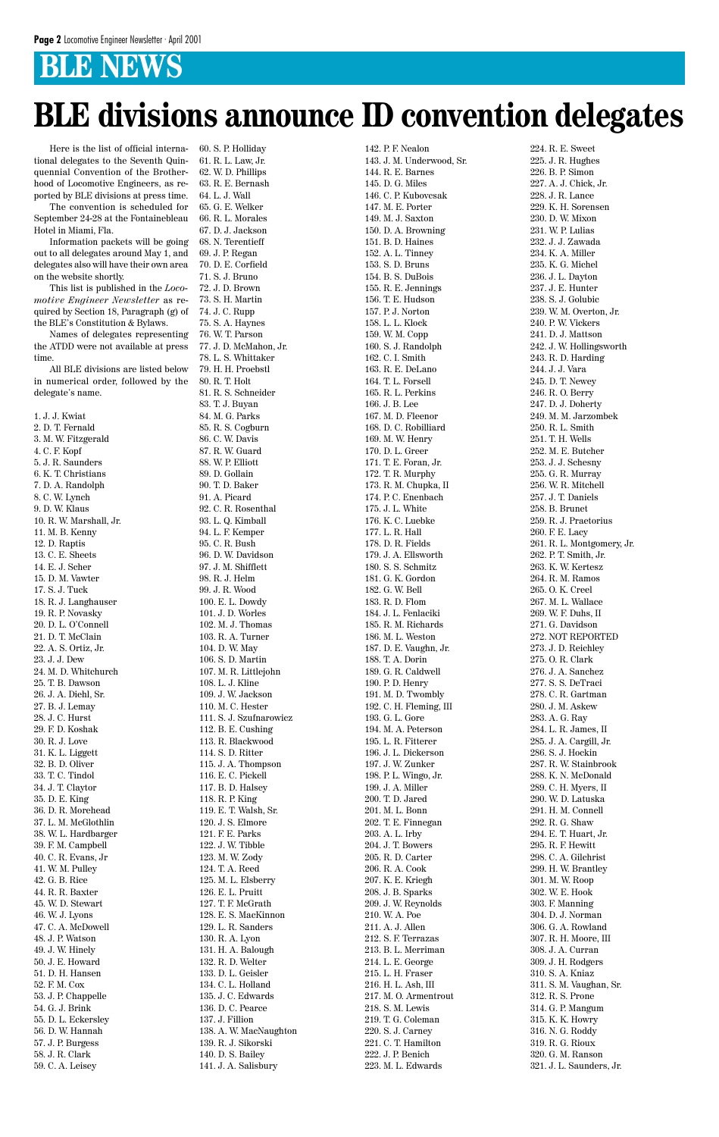Here is the list of official international delegates to the Seventh Quinquennial Convention of the Brotherhood of Locomotive Engineers, as reported by BLE divisions at press time.

The convention is scheduled for September 24-28 at the Fontainebleau Hotel in Miami, Fla.

Information packets will be going out to all delegates around May 1, and delegates also will have their own area on the website shortly.

This list is published in the *Locomotive Engineer Newsletter* as required by Section 18, Paragraph (g) of the BLE's Constitution & Bylaws.

Names of delegates representing the ATDD were not available at press time.

All BLE divisions are listed below in numerical order, followed by the delegate's name.

### **BLE divisions announce ID convention delegates**

1. J. J. Kwiat 2. D. T. Fernald 3. M. W. Fitzgerald 4. C. F. Kopf 5. J. R. Saunders 6. K. T. Christians 7. D. A. Randolph 8. C. W. Lynch 9. D. W. Klaus 10. R. W. Marshall, Jr. 11. M. B. Kenny 12. D. Raptis 13. C. E. Sheets 14. E. J. Scher 15. D. M. Vawter 17. S. J. Tuck 18. R. J. Langhauser 19. R. P. Novasky 20. D. L. O'Connell 21. D. T. McClain 22. A. S. Ortiz, Jr. 23. J. J. Dew 24. M. D. Whitchurch 25. T. B. Dawson 26. J. A. Diehl, Sr. 27. B. J. Lemay 28. J. C. Hurst 29. F. D. Koshak 30. R. J. Love 31. K. L. Liggett 32. B. D. Oliver 33. T. C. Tindol 34. J. T. Claytor 35. D. E. King 36. D. R. Morehead 37. L. M. McGlothlin 38. W. L. Hardbarger 39. F. M. Campbell 40. C. R. Evans, Jr 41. W. M. Pulley 42. G. B. Rice 44. R. R. Baxter 45. W. D. Stewart 46. W. J. Lyons 47. C. A. McDowell 48. J. P. Watson 49. J. W. Hinely 50. J. E. Howard 51. D. H. Hansen 52. F. M. Cox 53. J. P. Chappelle 54. G. J. Brink 55. D. L. Eckersley 56. D. W. Hannah 57. J. P. Burgess 58. J. R. Clark 59. C. A. Leisey

60. S. P. Holliday 61. R. L. Law, Jr. 62. W. D. Phillips 63. R. E. Bernash 64. L. J. Wall 65. G. E. Welker 66. R. L. Morales 67. D. J. Jackson 68. N. Terentieff 69. J. P. Regan 70. D. E. Corfield 71. S. J. Bruno 72. J. D. Brown 73. S. H. Martin 74. J. C. Rupp 75. S. A. Haynes 76. W. T. Parson 77. J. D. McMahon, Jr. 78. L. S. Whittaker 79. H. H. Proebstl 80. R. T. Holt 81. R. S. Schneider 83. T. J. Buyan 84. M. G. Parks 85. R. S. Cogburn 86. C. W. Davis 87. R. W. Guard 88. W. P. Elliott 89. D. Gollain 90. T. D. Baker 91. A. Picard 92. C. R. Rosenthal 93. L. Q. Kimball 94. L. F. Kemper 95. C. R. Bush 96. D. W. Davidson 97. J. M. Shifflett 98. R. J. Helm 99. J. R. Wood 100. E. L. Dowdy 101. J. D. Worles 102. M. J. Thomas 103. R. A. Turner 104. D. W. May 106. S. D. Martin 107. M. R. Littlejohn 108. L. J. Kline 109. J. W. Jackson 110. M. C. Hester 111. S. J. Szufnarowicz 112. B. E. Cushing 113. R. Blackwood 114. S. D. Ritter 115. J. A. Thompson 116. E. C. Pickell 117. B. D. Halsey 118. R. P. King 119. E. T. Walsh, Sr. 120. J. S. Elmore 121. F. E. Parks 122. J. W. Tibble 123. M. W. Zody 124. T. A. Reed 125. M. L. Elsberry 126. E. L. Pruitt 127. T. F. McGrath 128. E. S. MacKinnon 129. L. R. Sanders 130. R. A. Lyon 131. H. A. Balough 132. R. D. Welter 133. D. L. Geisler 134. C. L. Holland 135. J. C. Edwards 136. D. C. Pearce 137. J. Fillion 138. A. W. MacNaughton 139. R. J. Sikorski 140. D. S. Bailey 141. J. A. Salisbury

142. P. F. Nealon 143. J. M. Underwood, Sr. 144. R. E. Barnes 145. D. G. Miles 146. C. P. Kubovcsak 147. M. E. Porter 149. M. J. Saxton 150. D. A. Browning 151. B. D. Haines 152. A. L. Tinney 153. S. D. Bruns 154. B. S. DuBois 155. R. E. Jennings 156. T. E. Hudson 157. P. J. Norton 158. L. L. Klock 159. W. M. Copp 160. S. J. Randolph 162. C. I. Smith 163. R. E. DeLano 164. T. L. Forsell 165. R. L. Perkins 166. J. B. Lee 167. M. D. Fleenor 168. D. C. Robilliard 169. M. W. Henry 170. D. L. Greer 171. T. E. Foran, Jr. 172. T. R. Murphy 173. R. M. Chupka, II 174. P. C. Enenbach 175. J. L. White 176. K. C. Luebke 177. L. R. Hall 178. D. R. Fields 179. J. A. Ellsworth 180. S. S. Schmitz 181. G. K. Gordon 182. G. W. Bell 183. R. D. Flom 184. J. L. Fenlaciki 185. R. M. Richards 186. M. L. Weston 187. D. E. Vaughn, Jr. 188. T. A. Dorin 189. G. R. Caldwell 190. P. D. Henry 191. M. D. Twombly 192. C. H. Fleming, III 193. G. L. Gore 194. M. A. Peterson 195. L. R. Fitterer 196. J. L. Dickerson 197. J. W. Zunker 198. P. L. Wingo, Jr. 199. J. A. Miller 200. T. D. Jared 201. M. L. Bonn 202. T. E. Finnegan 203. A. L. Irby 204. J. T. Bowers 205. R. D. Carter 206. R. A. Cook 207. K. E. Kriegh 208. J. B. Sparks 209. J. W. Reynolds 210. W. A. Poe 211. A. J. Allen 212. S. F. Terrazas 213. B. L. Merriman 214. L. E. George 215. L. H. Fraser 216. H. L. Ash, III 217. M. O. Armentrout 218. S. M. Lewis 219. T. G. Coleman 220. S. J. Carney 221. C. T. Hamilton 222. J. P. Benich 223. M. L. Edwards

224. R. E. Sweet 225. J. R. Hughes 226. B. P. Simon 227. A. J. Chick, Jr. 228. J. R. Lance 229. K. H. Sorensen 230. D. W. Mixon 231. W. P. Lulias 232. J. J. Zawada 234. K. A. Miller 235. K. G. Michel 236. J. L. Dayton 237. J. E. Hunter 238. S. J. Golubic 239. W. M. Overton, Jr. 240. P. W. Vickers 241. D. J. Mattson 242. J. W. Hollingsworth 243. R. D. Harding 244. J. J. Vara 245. D. T. Newey 246. R. O. Berry 247. D. J. Doherty 249. M. M. Jarzombek 250. R. L. Smith 251. T. H. Wells 252. M. E. Butcher 253. J. J. Schesny 255. G. R. Murray 256. W. R. Mitchell 257. J. T. Daniels 258. B. Brunet 259. R. J. Praetorius 260. F. E. Lacy 261. R. L. Montgomery, Jr. 262. P. T. Smith, Jr. 263. K. W. Kertesz 264. R. M. Ramos 265. O. K. Creel 267. M. L. Wallace 269. W. F. Duhs, II 271. G. Davidson 272. NOT REPORTED 273. J. D. Reichley 275. O. R. Clark 276. J. A. Sanchez 277. S. S. DeTraci 278. C. R. Gartman 280. J. M. Askew 283. A. G. Ray 284. L. R. James, II 285. J. A. Cargill, Jr. 286. S. J. Hockin 287. R. W. Stainbrook 288. K. N. McDonald 289. C. H. Myers, II 290. W. D. Latuska 291. H. M. Connell 292. R. G. Shaw 294. E. T. Huart, Jr. 295. R. F. Hewitt 298. C. A. Gilchrist 299. H. W. Brantley 301. M. W. Roop 302. W. E. Hook 303. F. Manning 304. D. J. Norman 306. G. A. Rowland 307. R. H. Moore, III 308. J. A. Curran 309. J. H. Rodgers 310. S. A. Kniaz 311. S. M. Vaughan, Sr. 312. R. S. Prone 314. G. P. Mangum 315. K. K. Howry 316. N. G. Roddy 319. R. G. Rioux 320. G. M. Ranson 321. J. L. Saunders, Jr.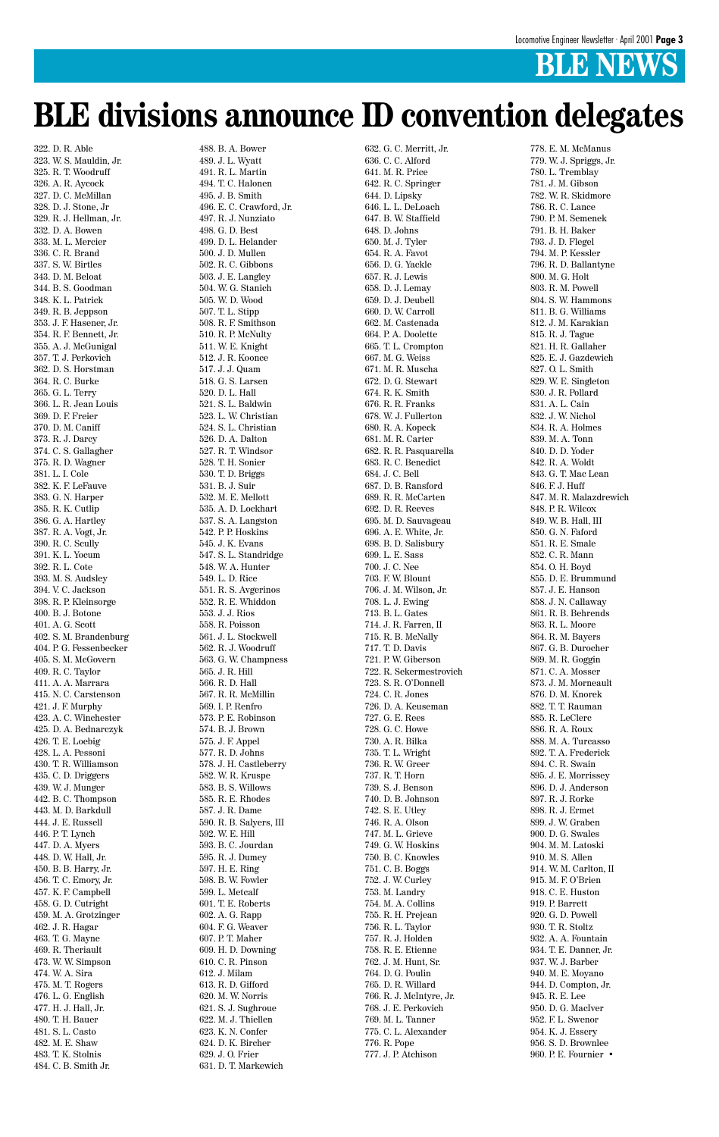### **BLE divisions announce ID convention delegates**

322. D. R. Able 323. W. S. Mauldin, Jr. 325. R. T. Woodruff 326. A. R. Aycock 327. D. C. McMillan 328. D. J. Stone, Jr 329. R. J. Hellman, Jr. 332. D. A. Bowen 333. M. L. Mercier 336. C. R. Brand 337. S. W. Birtles 343. D. M. Beloat 344. B. S. Goodman 348. K. L. Patrick 349. R. B. Jeppson 353. J. F. Hasener, Jr. 354. R. F. Bennett, Jr. 355. A. J. McGunigal 357. T. J. Perkovich 362. D. S. Horstman 364. R. C. Burke 365. G. L. Terry 366. L. R. Jean Louis 369. D. F. Freier 370. D. M. Caniff 373. R. J. Darcy 374. C. S. Gallagher 375. R. D. Wagner 381. L. I. Cole 382. K. F. LeFauve 383. G. N. Harper 385. R. K. Cutlip 386. G. A. Hartley 387. R. A. Vogt, Jr. 390. R. C. Scully 391. K. L. Yocum 392. R. L. Cote 393. M. S. Audsley 394. V. C. Jackson 398. R. P. Kleinsorge 400. B. J. Botone 401. A. G. Scott 402. S. M. Brandenburg 404. P. G. Fessenbecker 405. S. M. McGovern 409. R. C. Taylor 411. A. A. Marrara 415. N. C. Carstenson 421. J. F. Murphy 423. A. C. Winchester 425. D. A. Bednarczyk 426. T. E. Loebig 428. L. A. Pessoni 430. T. R. Williamson 435. C. D. Driggers 439. W. J. Munger 442. B. C. Thompson 443. M. D. Barkdull 444. J. E. Russell 446. P. T. Lynch 447. D. A. Myers 448. D. W. Hall, Jr. 450. B. B. Harry, Jr. 456. T. C. Emory, Jr. 457. K. F. Campbell 458. G. D. Cutright 459. M. A. Grotzinger 462. J. R. Hagar 463. T. G. Mayne 469. R. Theriault 473. W. W. Simpson 474. W. A. Sira 475. M. T. Rogers 476. L. G. English 477. H. J. Hall, Jr. 480. T. H. Bauer 481. S. L. Casto 482. M. E. Shaw 483. T. K. Stolnis 484. C. B. Smith Jr.

778. E. M. McManus 779. W. J. Spriggs, Jr. 780. L. Tremblay 781. J. M. Gibson 782. W. R. Skidmore 786. R. C. Lance 790. P. M. Semenek 791. B. H. Baker 793. J. D. Flegel 794. M. P. Kessler 796. R. D. Ballantyne 800. M. G. Holt 803. R. M. Powell 804. S. W. Hammons 811. B. G. Williams 812. J. M. Karakian 815. R. J. Tague 821. H. R. Gallaher 825. E. J. Gazdewich 827. O. L. Smith 829. W. E. Singleton 830. J. R. Pollard 831. A. L. Cain 832. J. W. Nichol 834. R. A. Holmes 839. M. A. Tonn 840. D. D. Yoder 842. R. A. Woldt 843. G. T. Mac Lean 846. F. J. Huff 847. M. R. Malazdrewich 848. P. R. Wilcox 849. W. B. Hall, III 850. G. N. Faford 851. R. E. Smale 852. C. R. Mann 854. O. H. Boyd 855. D. E. Brummund 857. J. E. Hanson 858. J. N. Callaway 861. R. B. Behrends 863. R. L. Moore 864. R. M. Bayers 867. G. B. Durocher 869. M. R. Goggin 871. C. A. Mosser 873. J. M. Morneault 876. D. M. Knorek 882. T. T. Rauman 885. R. LeClerc 886. R. A. Roux 888. M. A. Turcasso 892. T. A. Frederick 894. C. R. Swain 895. J. E. Morrissey 896. D. J. Anderson 897. R. J. Rorke 898. R. J. Ermet 899. J. W. Graben 900. D. G. Swales 904. M. M. Latoski 910. M. S. Allen 914. W. M. Carlton, II 915. M. F. O'Brien 918. C. E. Huston 919. P. Barrett 920. G. D. Powell 930. T. R. Stoltz 932. A. A. Fountain 934. T. E. Danner, Jr. 937. W. J. Barber 940. M. E. Moyano 944. D. Compton, Jr. 945. R. E. Lee 950. D. G. MacIver 952. F. L. Swenor 954. K. J. Essery 956. S. D. Brownlee 960. P. E. Fournier •

488. B. A. Bower 489. J. L. Wyatt 491. R. L. Martin 494. T. C. Halonen 495. J. B. Smith 496. E. C. Crawford, Jr. 497. R. J. Nunziato 498. G. D. Best 499. D. L. Helander 500. J. D. Mullen 502. R. C. Gibbons 503. J. E. Langley 504. W. G. Stanich 505. W. D. Wood 507. T. L. Stipp 508. R. F. Smithson 510. R. P. McNulty 511. W. E. Knight 512. J. R. Koonce 517. J. J. Quam 518. G. S. Larsen 520. D. L. Hall 521. S. L. Baldwin 523. L. W. Christian 524. S. L. Christian 526. D. A. Dalton 527. R. T. Windsor 528. T. H. Sonier 530. T. D. Briggs 531. B. J. Suir 532. M. E. Mellott 535. A. D. Lockhart 537. S. A. Langston 542. P. P. Hoskins 545. J. K. Evans 547. S. L. Standridge 548. W. A. Hunter 549. L. D. Rice 551. R. S. Avgerinos 552. R. E. Whiddon 553. J. J. Rios 558. R. Poisson 561. J. L. Stockwell 562. R. J. Woodruff 563. G. W. Champness 565. J. R. Hill 566. R. D. Hall 567. R. R. McMillin 569. I. P. Renfro 573. P. E. Robinson 574. B. J. Brown 575. J. F. Appel 577. R. D. Johns 578. J. H. Castleberry 582. W. R. Kruspe 583. B. S. Willows 585. R. E. Rhodes 587. J. R. Dame 590. R. B. Salyers, III 592. W. E. Hill 593. B. C. Jourdan 595. R. J. Dumey 597. H. E. Ring 598. B. W. Fowler 599. L. Metcalf 601. T. E. Roberts 602. A. G. Rapp 604. F. G. Weaver 607. P. T. Maher 609. H. D. Downing 610. C. R. Pinson 612. J. Milam 613. R. D. Gifford 620. M. W. Norris 621. S. J. Sughroue 622. M. J. Thiellen 623. K. N. Confer 624. D. K. Bircher 629. J. O. Frier 631. D. T. Markewich

632. G. C. Merritt, Jr. 636. C. C. Alford 641. M. R. Price 642. R. C. Springer 644. D. Lipsky 646. L. L. DeLoach 647. B. W. Staffield 648. D. Johns 650. M. J. Tyler 654. R. A. Favot 656. D. G. Yackle 657. R. J. Lewis 658. D. J. Lemay 659. D. J. Deubell 660. D. W. Carroll 662. M. Castenada 664. P. A. Doolette 665. T. L. Crompton 667. M. G. Weiss 671. M. R. Muscha 672. D. G. Stewart 674. R. K. Smith 676. R. R. Franks 678. W. J. Fullerton 680. R. A. Kopeck 681. M. R. Carter 682. R. R. Pasquarella 683. R. C. Benedict 684. J. C. Bell 687. D. B. Ransford 689. R. R. McCarten 692. D. R. Reeves 695. M. D. Sauvageau 696. A. E. White, Jr. 698. B. D. Salisbury 699. L. E. Sass 700. J. C. Nee 703. F. W. Blount 706. J. M. Wilson, Jr. 708. L. J. Ewing 713. B. L. Gates 714. J. R. Farren, II 715. R. B. McNally 717. T. D. Davis 721. P. W. Giberson 722. R. Sekermestrovich 723. S. R. O'Donnell 724. C. R. Jones 726. D. A. Keuseman 727. G. E. Rees 728. G. C. Howe 730. A. R. Bilka 735. T. L. Wright 736. R. W. Greer 737. R. T. Horn 739. S. J. Benson 740. D. B. Johnson 742. S. E. Utley 746. R. A. Olson 747. M. L. Grieve 749. G. W. Hoskins 750. B. C. Knowles 751. C. B. Boggs 752. J. W. Curley 753. M. Landry 754. M. A. Collins 755. R. H. Prejean 756. R. L. Taylor 757. R. J. Holden 758. R. E. Etienne 762. J. M. Hunt, Sr. 764. D. G. Poulin 765. D. R. Willard 766. R. J. McIntyre, Jr. 768. J. E. Perkovich 769. M. L. Tanner 775. C. L. Alexander 776. R. Pope 777. J. P. Atchison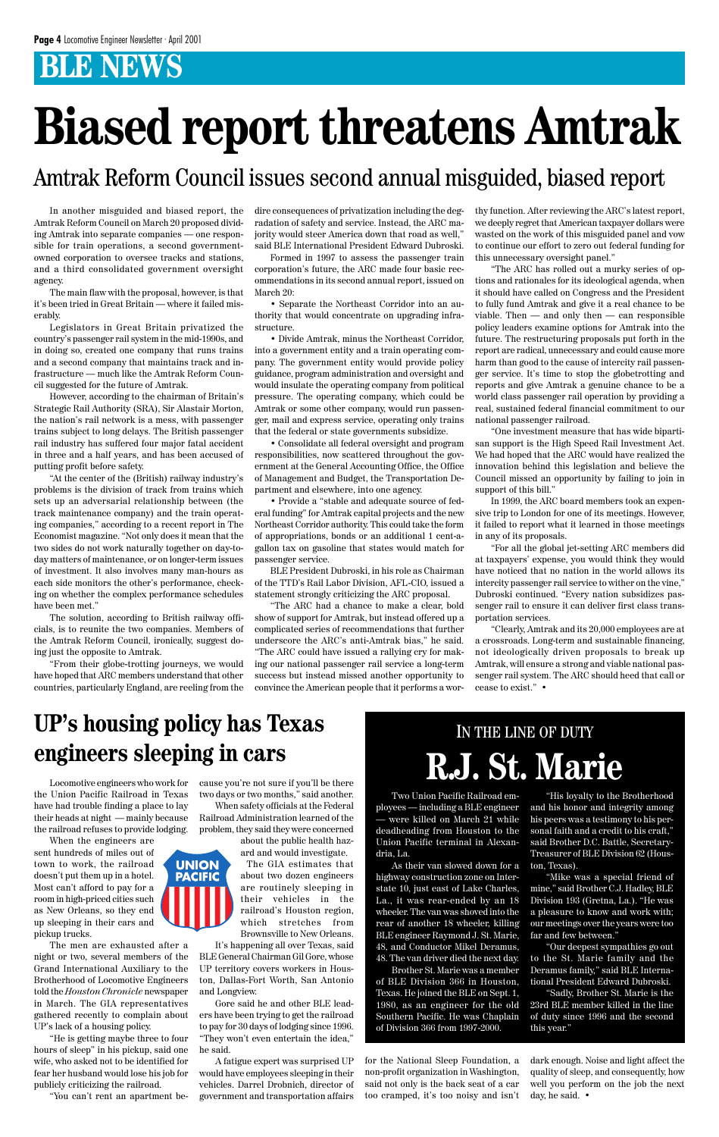In another misguided and biased report, the Amtrak Reform Council on March 20 proposed dividing Amtrak into separate companies — one responsible for train operations, a second governmentowned corporation to oversee tracks and stations, and a third consolidated government oversight agency.

The main flaw with the proposal, however, is that it's been tried in Great Britain — where it failed miserably.

Legislators in Great Britain privatized the country's passenger rail system in the mid-1990s, and in doing so, created one company that runs trains and a second company that maintains track and infrastructure — much like the Amtrak Reform Council suggested for the future of Amtrak.

However, according to the chairman of Britain's Strategic Rail Authority (SRA), Sir Alastair Morton, the nation's rail network is a mess, with passenger trains subject to long delays. The British passenger rail industry has suffered four major fatal accident in three and a half years, and has been accused of putting profit before safety.

"At the center of the (British) railway industry's problems is the division of track from trains which sets up an adversarial relationship between (the track maintenance company) and the train operating companies," according to a recent report in The Economist magazine. "Not only does it mean that the two sides do not work naturally together on day-today matters of maintenance, or on longer-term issues of investment. It also involves many man-hours as each side monitors the other's performance, checking on whether the complex performance schedules have been met."

The solution, according to British railway officials, is to reunite the two companies. Members of the Amtrak Reform Council, ironically, suggest doing just the opposite to Amtrak.

"From their globe-trotting journeys, we would have hoped that ARC members understand that other countries, particularly England, are reeling from the

dire consequences of privatization including the degradation of safety and service. Instead, the ARC majority would steer America down that road as well," said BLE International President Edward Dubroski.

Formed in 1997 to assess the passenger train corporation's future, the ARC made four basic recommendations in its second annual report, issued on March 20:

• Separate the Northeast Corridor into an authority that would concentrate on upgrading infrastructure.

• Divide Amtrak, minus the Northeast Corridor, into a government entity and a train operating company. The government entity would provide policy guidance, program administration and oversight and would insulate the operating company from political pressure. The operating company, which could be Amtrak or some other company, would run passenger, mail and express service, operating only trains that the federal or state governments subsidize.

• Consolidate all federal oversight and program responsibilities, now scattered throughout the government at the General Accounting Office, the Office of Management and Budget, the Transportation Department and elsewhere, into one agency.

• Provide a "stable and adequate source of federal funding" for Amtrak capital projects and the new Northeast Corridor authority. This could take the form of appropriations, bonds or an additional 1 cent-agallon tax on gasoline that states would match for passenger service.

> "His loyalty to the Brotherhood and his honor and integrity among his peers was a testimony to his personal faith and a credit to his craft,"

BLE President Dubroski, in his role as Chairman of the TTD's Rail Labor Division, AFL-CIO, issued a statement strongly criticizing the ARC proposal.

"The ARC had a chance to make a clear, bold show of support for Amtrak, but instead offered up a complicated series of recommendations that further underscore the ARC's anti-Amtrak bias," he said. "The ARC could have issued a rallying cry for making our national passenger rail service a long-term success but instead missed another opportunity to convince the American people that it performs a worthy function. After reviewing the ARC's latest report, we deeply regret that American taxpayer dollars were wasted on the work of this misguided panel and vow to continue our effort to zero out federal funding for this unnecessary oversight panel."

"The ARC has rolled out a murky series of options and rationales for its ideological agenda, when it should have called on Congress and the President to fully fund Amtrak and give it a real chance to be viable. Then  $-$  and only then  $-$  can responsible policy leaders examine options for Amtrak into the future. The restructuring proposals put forth in the report are radical, unnecessary and could cause more harm than good to the cause of intercity rail passenger service. It's time to stop the globetrotting and reports and give Amtrak a genuine chance to be a world class passenger rail operation by providing a real, sustained federal financial commitment to our national passenger railroad.

"One investment measure that has wide bipartisan support is the High Speed Rail Investment Act. We had hoped that the ARC would have realized the innovation behind this legislation and believe the Council missed an opportunity by failing to join in support of this bill."

In 1999, the ARC board members took an expensive trip to London for one of its meetings. However, it failed to report what it learned in those meetings in any of its proposals.

"For all the global jet-setting ARC members did at taxpayers' expense, you would think they would have noticed that no nation in the world allows its intercity passenger rail service to wither on the vine," Dubroski continued. "Every nation subsidizes passenger rail to ensure it can deliver first class transportation services.

"Clearly, Amtrak and its 20,000 employees are at a crossroads. Long-term and sustainable financing, not ideologically driven proposals to break up Amtrak, will ensure a strong and viable national passenger rail system. The ARC should heed that call or cease to exist." •

# **Biased report threatens Amtrak**

### Amtrak Reform Council issues second annual misguided, biased report

### IN THE LINE OF DUTY **R.J. St. Marie**

Two Union Pacific Railroad employees — including a BLE engineer were killed on March 21 while deadheading from Houston to the

Union Pacific terminal in Alexandria, La.

As their van slowed down for a highway construction zone on Interstate 10, just east of Lake Charles, La., it was rear-ended by an 18 wheeler. The van was shoved into the rear of another 18 wheeler, killing BLE engineer Raymond J. St. Marie, 48, and Conductor Mikel Deramus, 48. The van driver died the next day.

Brother St. Marie was a member of BLE Division 366 in Houston, Texas. He joined the BLE on Sept. 1, 1980, as an engineer for the old Southern Pacific. He was Chaplain of Division 366 from 1997-2000.

said Brother D.C. Battle, Secretary-Treasurer of BLE Division 62 (Houston, Texas).

"Mike was a special friend of mine," said Brother C.J. Hadley, BLE Division 193 (Gretna, La.). "He was a pleasure to know and work with; our meetings over the years were too far and few between."

"Our deepest sympathies go out to the St. Marie family and the Deramus family," said BLE International President Edward Dubroski. "Sadly, Brother St. Marie is the

23rd BLE member killed in the line of duty since 1996 and the second this year."

Locomotive engineers who work for the Union Pacific Railroad in Texas have had trouble finding a place to lay their heads at night — mainly because the railroad refuses to provide lodging.

When the engineers are sent hundreds of miles out of town to work, the railroad doesn't put them up in a hotel. Most can't afford to pay for a room in high-priced cities such as New Orleans, so they end up sleeping in their cars and pickup trucks.

The men are exhausted after a night or two, several members of the Grand International Auxiliary to the Brotherhood of Locomotive Engineers told the *Houston Chronicle* newspaper in March. The GIA representatives gathered recently to complain about UP's lack of a housing policy.

"He is getting maybe three to four hours of sleep" in his pickup, said one wife, who asked not to be identified for fear her husband would lose his job for publicly criticizing the railroad.

"You can't rent an apartment be-



cause you're not sure if you'll be there two days or two months," said another.

When safety officials at the Federal Railroad Administration learned of the problem, they said they were concerned

> about the public health hazard and would investigate. The GIA estimates that about two dozen engineers are routinely sleeping in their vehicles in the railroad's Houston region, which stretches from Brownsville to New Orleans.

It's happening all over Texas, said BLE General Chairman Gil Gore, whose UP territory covers workers in Houston, Dallas-Fort Worth, San Antonio and Longview.

Gore said he and other BLE leaders have been trying to get the railroad to pay for 30 days of lodging since 1996. "They won't even entertain the idea," he said.

A fatigue expert was surprised UP would have employees sleeping in their vehicles. Darrel Drobnich, director of government and transportation affairs

### **UP's housing policy has Texas engineers sleeping in cars**

for the National Sleep Foundation, a non-profit organization in Washington, said not only is the back seat of a car too cramped, it's too noisy and isn't

dark enough. Noise and light affect the quality of sleep, and consequently, how well you perform on the job the next day, he said. •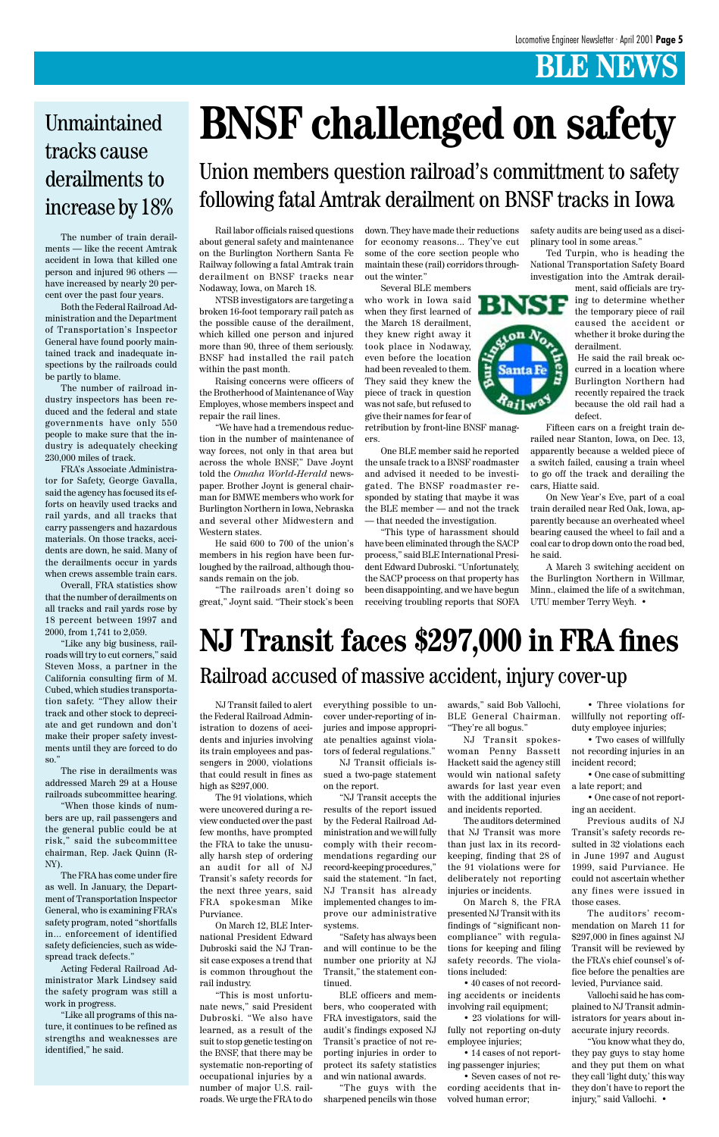The number of train derailments — like the recent Amtrak accident in Iowa that killed one person and injured 96 others have increased by nearly 20 percent over the past four years.

Both the Federal Railroad Administration and the Department of Transportation's Inspector General have found poorly maintained track and inadequate inspections by the railroads could be partly to blame.

The number of railroad industry inspectors has been reduced and the federal and state governments have only 550 people to make sure that the industry is adequately checking 230,000 miles of track.

FRA's Associate Administrator for Safety, George Gavalla, said the agency has focused its efforts on heavily used tracks and rail yards, and all tracks that carry passengers and hazardous materials. On those tracks, accidents are down, he said. Many of the derailments occur in yards when crews assemble train cars.

Overall, FRA statistics show that the number of derailments on all tracks and rail yards rose by 18 percent between 1997 and 2000, from 1,741 to 2,059.

"Like any big business, railroads will try to cut corners," said Steven Moss, a partner in the California consulting firm of M. Cubed, which studies transportation safety. "They allow their track and other stock to depreciate and get rundown and don't make their proper safety investments until they are forced to do so."

The rise in derailments was addressed March 29 at a House railroads subcommittee hearing.

"When those kinds of numbers are up, rail passengers and the general public could be at

risk," said the subcommittee chairman, Rep. Jack Quinn (R-NY).

The FRA has come under fire as well. In January, the Department of Transportation Inspector General, who is examining FRA's safety program, noted "shortfalls in... enforcement of identified safety deficiencies, such as widespread track defects."

Acting Federal Railroad Administrator Mark Lindsey said the safety program was still a work in progress.

"Like all programs of this nature, it continues to be refined as strengths and weaknesses are identified," he said.

Rail labor officials raised questions about general safety and maintenance on the Burlington Northern Santa Fe Railway following a fatal Amtrak train derailment on BNSF tracks near Nodaway, Iowa, on March 18.

NTSB investigators are targeting a broken 16-foot temporary rail patch as the possible cause of the derailment, which killed one person and injured more than 90, three of them seriously. BNSF had installed the rail patch within the past month.

Raising concerns were officers of the Brotherhood of Maintenance of Way Employes, whose members inspect and repair the rail lines.

"We have had a tremendous reduction in the number of maintenance of way forces, not only in that area but across the whole BNSF," Dave Joynt told the *Omaha World-Herald* newspaper. Brother Joynt is general chairman for BMWE members who work for Burlington Northern in Iowa, Nebraska and several other Midwestern and Western states.

He said 600 to 700 of the union's members in his region have been furloughed by the railroad, although thousands remain on the job.

"The railroads aren't doing so great," Joynt said. "Their stock's been down. They have made their reductions for economy reasons... They've cut some of the core section people who maintain these (rail) corridors throughout the winter."

Several BLE members

who work in Iowa said when they first learned of the March 18 derailment, they knew right away it took place in Nodaway, even before the location had been revealed to them. They said they knew the piece of track in question was not safe, but refused to give their names for fear of

retribution by front-line BNSF managers.

One BLE member said he reported the unsafe track to a BNSF roadmaster and advised it needed to be investigated. The BNSF roadmaster responded by stating that maybe it was the BLE member — and not the track — that needed the investigation.

"This type of harassment should have been eliminated through the SACP process," said BLE International President Edward Dubroski. "Unfortunately, the SACP process on that property has been disappointing, and we have begun receiving troubling reports that SOFA safety audits are being used as a disciplinary tool in some areas."

Ted Turpin, who is heading the National Transportation Safety Board investigation into the Amtrak derail-

> ment, said officials are trying to determine whether the temporary piece of rail caused the accident or whether it broke during the derailment.

> He said the rail break occurred in a location where Burlington Northern had recently repaired the track because the old rail had a defect.

Fifteen cars on a freight train derailed near Stanton, Iowa, on Dec. 13, apparently because a welded piece of a switch failed, causing a train wheel to go off the track and derailing the cars, Hiatte said.

On New Year's Eve, part of a coal train derailed near Red Oak, Iowa, apparently because an overheated wheel bearing caused the wheel to fail and a coal car to drop down onto the road bed, he said.

A March 3 switching accident on the Burlington Northern in Willmar, Minn., claimed the life of a switchman, UTU member Terry Weyh. •

# **BNSF challenged on safety**

### Union members question railroad's committment to safety following fatal Amtrak derailment on BNSF tracks in Iowa

### Unmaintained tracks cause derailments to increase by 18%

NJ Transit failed to alert the Federal Railroad Administration to dozens of accidents and injuries involving its train employees and passengers in 2000, violations that could result in fines as high as \$297,000.

The 91 violations, which were uncovered during a review conducted over the past few months, have prompted the FRA to take the unusually harsh step of ordering an audit for all of NJ Transit's safety records for the next three years, said FRA spokesman Mike Purviance.

On March 12, BLE International President Edward Dubroski said the NJ Transit case exposes a trend that is common throughout the rail industry.

"This is most unfortunate news," said President Dubroski. "We also have learned, as a result of the suit to stop genetic testing on the BNSF, that there may be systematic non-reporting of occupational injuries by a number of major U.S. railroads. We urge the FRA to do

everything possible to uncover under-reporting of injuries and impose appropriate penalties against violators of federal regulations."

NJ Transit officials issued a two-page statement on the report.

"NJ Transit accepts the results of the report issued by the Federal Railroad Administration and we will fully that NJ Transit was more comply with their recommendations regarding our record-keeping procedures," said the statement. "In fact, NJ Transit has already implemented changes to improve our administrative systems.

"Safety has always been and will continue to be the number one priority at NJ Transit," the statement continued.

BLE officers and members, who cooperated with FRA investigators, said the audit's findings exposed NJ Transit's practice of not reporting injuries in order to protect its safety statistics and win national awards.

"The guys with the sharpened pencils win those

awards," said Bob Vallochi, BLE General Chairman. "They're all bogus."

NJ Transit spokeswoman Penny Bassett Hackett said the agency still would win national safety awards for last year even with the additional injuries and incidents reported.

The auditors determined

than just lax in its recordkeeping, finding that 28 of the 91 violations were for deliberately not reporting injuries or incidents.

On March 8, the FRA presented NJ Transit with its findings of "significant noncompliance" with regulations for keeping and filing safety records. The violations included:

• 40 cases of not recording accidents or incidents involving rail equipment;

• 23 violations for willfully not reporting on-duty employee injuries;

• 14 cases of not reporting passenger injuries;

• Seven cases of not recording accidents that involved human error;

• Three violations for willfully not reporting offduty employee injuries;

• Two cases of willfully not recording injuries in an incident record;

• One case of submitting a late report; and

• One case of not reporting an accident.

Previous audits of NJ Transit's safety records resulted in 32 violations each in June 1997 and August 1999, said Purviance. He could not ascertain whether any fines were issued in those cases. The auditors' recommendation on March 11 for \$297,000 in fines against NJ Transit will be reviewed by the FRA's chief counsel's office before the penalties are levied, Purviance said.



Vallochi said he has complained to NJ Transit administrators for years about inaccurate injury records.

"You know what they do, they pay guys to stay home and they put them on what they call 'light duty,' this way they don't have to report the injury," said Vallochi. •

### **NJ Transit faces \$297,000 in FRA fines** Railroad accused of massive accident, injury cover-up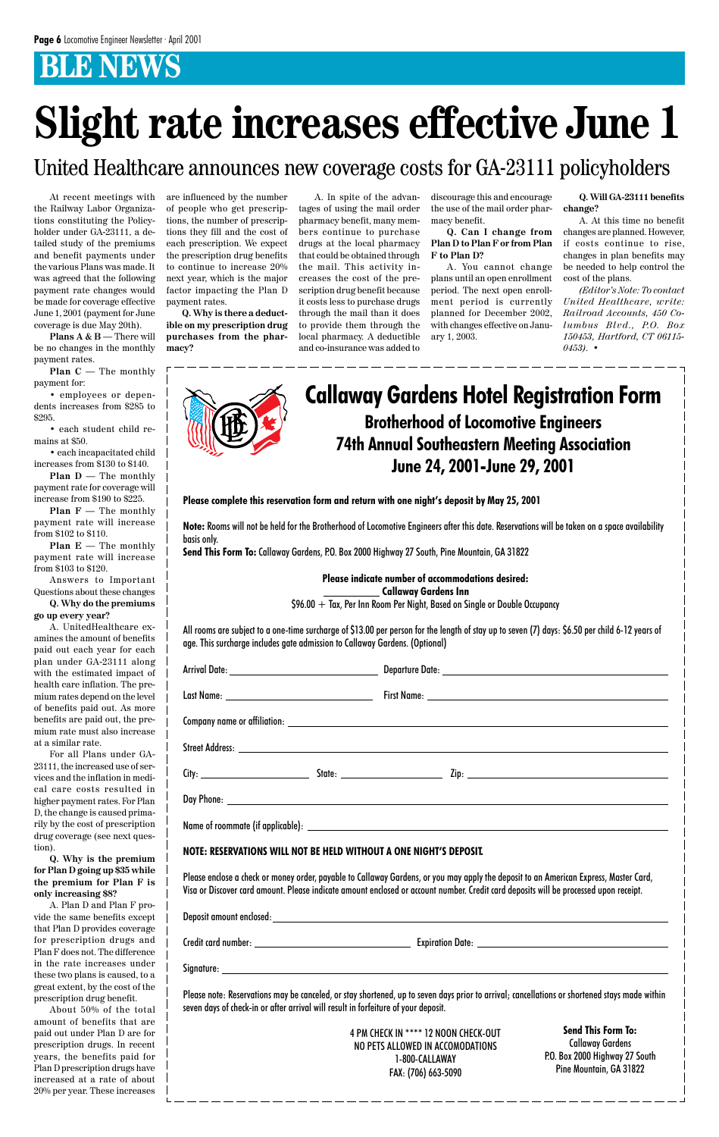At recent meetings with the Railway Labor Organizations constituting the Policyholder under GA-23111, a detailed study of the premiums and benefit payments under the various Plans was made. It was agreed that the following payment rate changes would be made for coverage effective June 1, 2001 (payment for June coverage is due May 20th).

**Plans A & B** — There will be no changes in the monthly payment rates.

**Plan D** — The monthly payment rate for coverage will increase from \$190 to \$225.

**Plan C** — The monthly payment for:

• employees or dependents increases from \$285 to \$295.

• each student child remains at \$50.

• each incapacitated child increases from \$130 to \$140.

**Plan F** — The monthly payment rate will increase from \$102 to \$110.

**Plan E** — The monthly payment rate will increase from \$103 to \$120.

Answers to Important Questions about these changes

**Q. Why do the premiums go up every year?**

A. UnitedHealthcare examines the amount of benefits paid out each year for each plan under GA-23111 along with the estimated impact of health care inflation. The premium rates depend on the level of benefits paid out. As more benefits are paid out, the premium rate must also increase at a similar rate.

For all Plans under GA-23111, the increased use of services and the inflation in medical care costs resulted in higher payment rates. For Plan D, the change is caused primarily by the cost of prescription drug coverage (see next question). **Q. Why is the premium for Plan D going up \$35 while the premium for Plan F is only increasing \$8?** A. Plan D and Plan F provide the same benefits except that Plan D provides coverage for prescription drugs and Plan F does not. The difference in the rate increases under these two plans is caused, to a great extent, by the cost of the prescription drug benefit. About 50% of the total amount of benefits that are paid out under Plan D are for prescription drugs. In recent years, the benefits paid for Plan D prescription drugs have increased at a rate of about 20% per year. These increases

## **Slight rate increases effective June 1**

**Please complete this reservation form and return with one night's deposit by May 25, 2001**

**Note:** Rooms will not be held for the Brotherhood of Locomotive Engineers after this date. Reservations will be taken on a space availability basis only.

**Send This Form To:** Callaway Gardens, P.O. Box 2000 Highway 27 South, Pine Mountain, GA 31822

**Please indicate number of accommodations desired: Callaway Gardens Inn**

 $$96.00 + Tax$ , Per Inn Room Per Night, Based on Single or Double Occupancy

All rooms are subject to a one-time surcharge of \$13.00 per person for the length of stay up to seven (7) days: \$6.50 per child 6-12 years of age. This surcharge includes gate admission to Callaway Gardens. (Optional)

### **Brotherhood of Locomotive Engineers 74th Annual Southeastern Meeting Association June 24, 2001-June 29, 2001 Callaway Gardens Hotel Registration Form**

#### **NOTE: RESERVATIONS WILL NOT BE HELD WITHOUT A ONE NIGHT'S DEPOSIT.**

Please enclose a check or money order, payable to Callaway Gardens, or you may apply the deposit to an American Express, Master Card, Visa or Discover card amount. Please indicate amount enclosed or account number. Credit card deposits will be processed upon receipt.

|  |  | Deposit amount enclosed: |
|--|--|--------------------------|
|--|--|--------------------------|

Credit card number: Expiration Date:

Signature:

Please note: Reservations may be canceled, or stay shortened, up to seven days prior to arrival; cancellations or shortened stays made within seven days of check-in or after arrival will result in forfeiture of your deposit.

> 4 PM CHECK IN \*\*\*\* 12 NOON CHECK-OUT NO PETS ALLOWED IN ACCOMODATIONS 1-800-CALLAWAY FAX: (706) 663-5090

are influenced by the number of people who get prescriptions, the number of prescriptions they fill and the cost of each prescription. We expect the prescription drug benefits to continue to increase 20% next year, which is the major factor impacting the Plan D payment rates.

**Q. Why is there a deductible on my prescription drug purchases from the pharmacy?**

A. In spite of the advantages of using the mail order pharmacy benefit, many members continue to purchase drugs at the local pharmacy that could be obtained through the mail. This activity increases the cost of the prescription drug benefit because it costs less to purchase drugs through the mail than it does to provide them through the local pharmacy. A deductible and co-insurance was added to

discourage this and encourage the use of the mail order pharmacy benefit.

**Q. Can I change from Plan D to Plan F or from Plan F to Plan D?**

A. You cannot change plans until an open enrollment period. The next open enrollment period is currently planned for December 2002, with changes effective on January 1, 2003.

**Q. Will GA-23111 benefits change?**

A. At this time no benefit changes are planned. However, if costs continue to rise, changes in plan benefits may be needed to help control the cost of the plans.

*(Editor's Note: To contact United Healthcare, write: Railroad Accounts, 450 Columbus Blvd., P.O. Box 150453, Hartford, CT 06115- 0453).* •



### United Healthcare announces new coverage costs for GA-23111 policyholders

**Send This Form To:** Callaway Gardens P.O. Box 2000 Highway 27 South Pine Mountain, GA 31822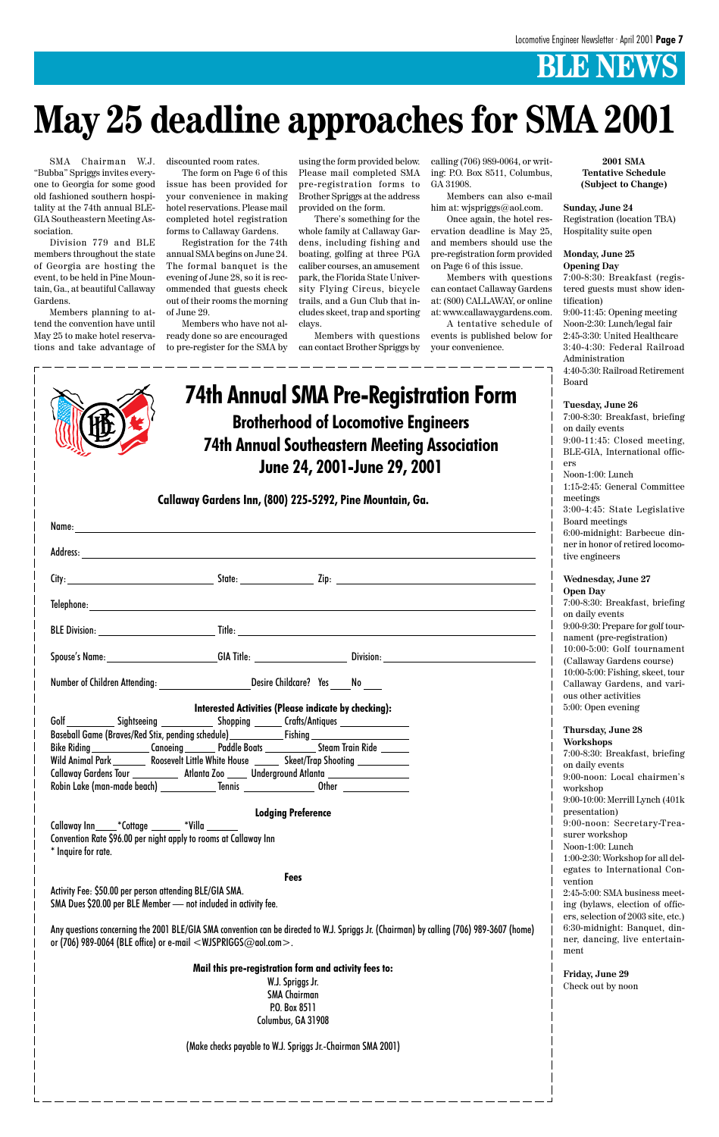**Callaway Gardens Inn, (800) 225-5292, Pine Mountain, Ga.**

| Spouse's Name:_________________________GIA Title: _________________________Division: _________________________ |                                                      |  |  |  |  |
|----------------------------------------------------------------------------------------------------------------|------------------------------------------------------|--|--|--|--|
| Number of Children Attending: _______________________Desire Childcare? Yes _____ No ____                       |                                                      |  |  |  |  |
|                                                                                                                | Interested Activities (Please indicate by checking): |  |  |  |  |
| Golf _____________ Sightseeing ______________ Shopping _______ Crafts/Antiques ____________________            |                                                      |  |  |  |  |
| Baseball Game (Braves/Red Stix, pending schedule)________________________________                              |                                                      |  |  |  |  |
| Bike Riding ______________Canoeing _________ Paddle Boats ______________Steam Train Ride _______               |                                                      |  |  |  |  |
| Wild Animal Park _________ Roosevelt Little White House _______ Skeet/Trap Shooting ___________                |                                                      |  |  |  |  |
| Callaway Gardens Tour _____________ Atlanta Zoo _____ Underground Atlanta ______________                       |                                                      |  |  |  |  |
|                                                                                                                |                                                      |  |  |  |  |
| <b>Lodging Preference</b>                                                                                      |                                                      |  |  |  |  |
| Callaway Inn_______*Cottage _________ *Villa ________                                                          |                                                      |  |  |  |  |
| Convention Rate \$96.00 per night apply to rooms at Callaway Inn                                               |                                                      |  |  |  |  |

Any questions concerning the 2001 BLE/GIA SMA convention can be directed to W.J. Spriggs Jr. (Chairman) by calling (706) 989-3607 (home) or (706) 989-0064 (BLE office) or e-mail  $<$ WJSPRIGGS@aol.com $>$ .

\* Inquire for rate.

**Fees**

Activity Fee: \$50.00 per person attending BLE/GIA SMA. SMA Dues \$20.00 per BLE Member — not included in activity fee.

**Mail this pre-registration form and activity fees to:**

W.J. Spriggs Jr. SMA Chairman P.O. Box 8511 Columbus, GA 31908

(Make checks payable to W.J. Spriggs Jr.-Chairman SMA 2001)

| <b>74th Annual SMA Pre-Registration Form</b>        |
|-----------------------------------------------------|
| <b>Brotherhood of Locomotive Engineers</b>          |
| <b>74th Annual Southeastern Meeting Association</b> |
| June 24, 2001-June 29, 2001                         |
|                                                     |

### **May 25 deadline approaches for SMA 2001**

Members can also e-mail him at: wjspriggs@aol.com.

SMA Chairman W.J. "Bubba" Spriggs invites everyone to Georgia for some good old fashioned southern hospitality at the 74th annual BLE-GIA Southeastern Meeting Association.

Division 779 and BLE members throughout the state of Georgia are hosting the event, to be held in Pine Mountain, Ga., at beautiful Callaway Gardens.

Members planning to attend the convention have until May 25 to make hotel reservations and take advantage of

discounted room rates.

The form on Page 6 of this issue has been provided for your convenience in making hotel reservations. Please mail completed hotel registration forms to Callaway Gardens.

Registration for the 74th annual SMA begins on June 24. The formal banquet is the evening of June 28, so it is recommended that guests check out of their rooms the morning of June 29.

Members who have not already done so are encouraged to pre-register for the SMA by

using the form provided below. Please mail completed SMA pre-registration forms to Brother Spriggs at the address provided on the form.

There's something for the whole family at Callaway Gardens, including fishing and boating, golfing at three PGA caliber courses, an amusement park, the Florida State University Flying Circus, bicycle trails, and a Gun Club that includes skeet, trap and sporting clays.

Members with questions can contact Brother Spriggs by calling (706) 989-0064, or writing: P.O. Box 8511, Columbus, GA 31908.

Once again, the hotel reservation deadline is May 25, and members should use the pre-registration form provided on Page 6 of this issue.

Members with questions can contact Callaway Gardens at: (800) CALLAWAY, or online at: www.callawaygardens.com.

A tentative schedule of events is published below for your convenience.

**2001 SMA Tentative Schedule (Subject to Change)**

**Sunday, June 24** Registration (location TBA) Hospitality suite open

#### **Monday, June 25 Opening Day**

7:00-8:30: Breakfast (registered guests must show identification) 9:00-11:45: Opening meeting Noon-2:30: Lunch/legal fair 2:45-3:30: United Healthcare 3:40-4:30: Federal Railroad Administration 4:40-5:30: Railroad Retirement Board

#### **Tuesday, June 26**

7:00-8:30: Breakfast, briefing on daily events 9:00-11:45: Closed meeting, BLE-GIA, International officers Noon-1:00: Lunch 1:15-2:45: General Committee meetings 3:00-4:45: State Legislative Board meetings 6:00-midnight: Barbecue din-

#### ner in honor of retired locomotive engineers

#### **Wednesday, June 27 Open Day**

7:00-8:30: Breakfast, briefing on daily events 9:00-9:30: Prepare for golf tournament (pre-registration) 10:00-5:00: Golf tournament (Callaway Gardens course) 10:00-5:00: Fishing, skeet, tour Callaway Gardens, and various other activities 5:00: Open evening

#### **Thursday, June 28 Workshops**

7:00-8:30: Breakfast, briefing on daily events 9:00-noon: Local chairmen's workshop 9:00-10:00: Merrill Lynch (401k presentation) 9:00-noon: Secretary-Treasurer workshop Noon-1:00: Lunch 1:00-2:30: Workshop for all delegates to International Convention 2:45-5:00: SMA business meeting (bylaws, election of officers, selection of 2003 site, etc.) 6:30-midnight: Banquet, dinner, dancing, live entertainment

**Friday, June 29** Check out by noon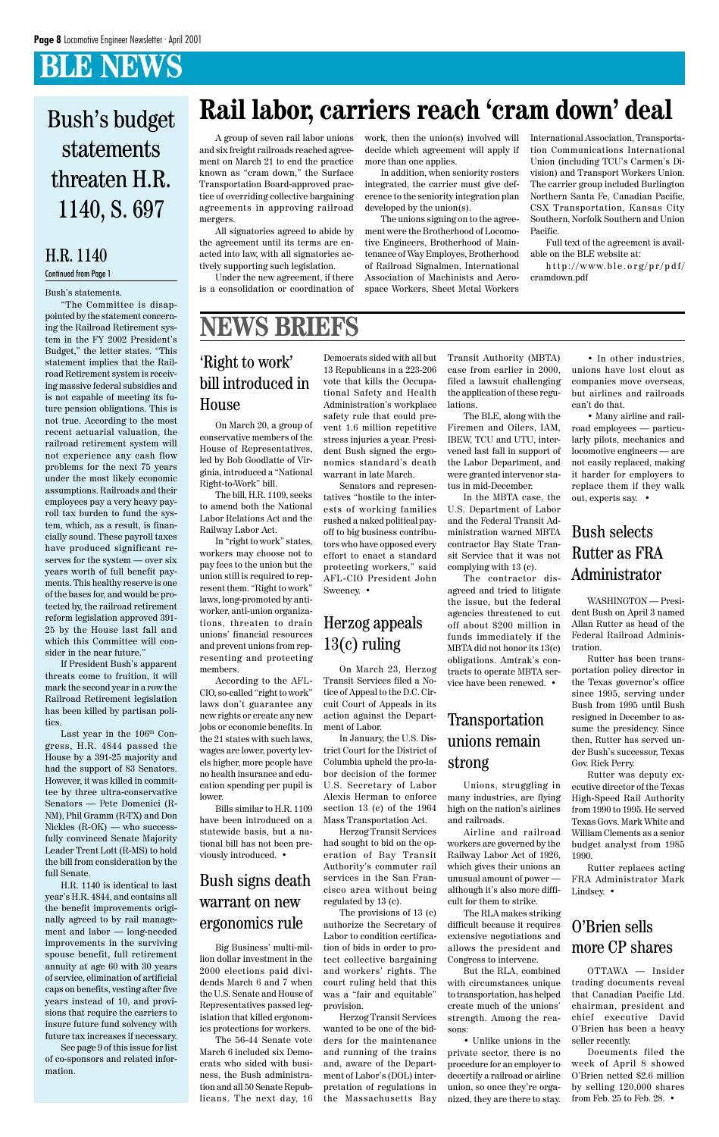Bush's statements.

"The Committee is disappointed by the statement concerning the Railroad Retirement system in the FY 2002 President's Budget," the letter states. "This statement implies that the Railroad Retirement system is receiving massive federal subsidies and is not capable of meeting its future pension obligations. This is not true. According to the most recent actuarial valuation, the railroad retirement system will not experience any cash flow problems for the next 75 years under the most likely economic assumptions. Railroads and their employees pay a very heavy payroll tax burden to fund the system, which, as a result, is financially sound. These payroll taxes have produced significant reserves for the system — over six years worth of full benefit payments. This healthy reserve is one of the bases for, and would be protected by, the railroad retirement reform legislation approved 391- 25 by the House last fall and which this Committee will consider in the near future."

Last year in the 106<sup>th</sup> Congress, H.R. 4844 passed the House by a 391-25 majority and had the support of 83 Senators. However, it was killed in committee by three ultra-conservative Senators — Pete Domenici (R-NM), Phil Gramm (R-TX) and Don Nickles (R-OK) — who successfully convinced Senate Majority Leader Trent Lott (R-MS) to hold the bill from consideration by the full Senate. H.R. 1140 is identical to last year's H.R. 4844, and contains all the benefit improvements originally agreed to by rail management and labor — long-needed improvements in the surviving spouse benefit, full retirement annuity at age 60 with 30 years of service, elimination of artificial caps on benefits, vesting after five years instead of 10, and provisions that require the carriers to insure future fund solvency with future tax increases if necessary. See page 9 of this issue for list of co-sponsors and related infor-

If President Bush's apparent threats come to fruition, it will mark the second year in a row the Railroad Retirement legislation has been killed by partisan politics.

mation.

### Bush's budget statements threaten H.R. 1140, S. 697

#### H.R. 1140 Continued from Page 1

A group of seven rail labor unions and six freight railroads reached agreement on March 21 to end the practice known as "cram down," the Surface Transportation Board-approved practice of overriding collective bargaining agreements in approving railroad mergers.

All signatories agreed to abide by the agreement until its terms are enacted into law, with all signatories actively supporting such legislation.

Under the new agreement, if there is a consolidation or coordination of work, then the union(s) involved will decide which agreement will apply if more than one applies.

In addition, when seniority rosters integrated, the carrier must give deference to the seniority integration plan developed by the union(s).

The unions signing on to the agreement were the Brotherhood of Locomotive Engineers, Brotherhood of Maintenance of Way Employes, Brotherhood of Railroad Signalmen, International Association of Machinists and Aerospace Workers, Sheet Metal Workers International Association, Transportation Communications International Union (including TCU's Carmen's Division) and Transport Workers Union. The carrier group included Burlington Northern Santa Fe, Canadian Pacific, CSX Transportation, Kansas City Southern, Norfolk Southern and Union Pacific.

Full text of the agreement is available on the BLE website at:

http://www.ble.org/pr/pdf/ cramdown.pdf

### **Rail labor, carriers reach 'cram down' deal**

### **NEWS BRIEFS**

#### 'Right to work' bill introduced in House

On March 20, a group of conservative members of the House of Representatives, led by Bob Goodlatte of Virginia, introduced a "National Right-to-Work" bill.

The bill, H.R. 1109, seeks to amend both the National Labor Relations Act and the Railway Labor Act.

#### **Transportation** unions remain strong

In "right to work" states, workers may choose not to pay fees to the union but the union still is required to represent them. "Right to work" laws, long-promoted by antiworker, anti-union organizations, threaten to drain unions' financial resources and prevent unions from representing and protecting members.

According to the AFL-CIO, so-called "right to work" laws don't guarantee any new rights or create any new jobs or economic benefits. In the 21 states with such laws, wages are lower, poverty levels higher, more people have no health insurance and education spending per pupil is lower.

Bills similar to H.R. 1109 have been introduced on a statewide basis, but a na-

tional bill has not been previously introduced. •

Bush signs death warrant on new ergonomics rule

Big Business' multi-million dollar investment in the 2000 elections paid dividends March 6 and 7 when the U.S. Senate and House of Representatives passed legislation that killed ergonomics protections for workers.

The 56-44 Senate vote March 6 included six Democrats who sided with business, the Bush administration and all 50 Senate Republicans. The next day, 16

Democrats sided with all but

13 Republicans in a 223-206 vote that kills the Occupational Safety and Health Administration's workplace safety rule that could prevent 1.6 million repetitive stress injuries a year. President Bush signed the ergonomics standard's death warrant in late March.

Senators and representatives "hostile to the interests of working families rushed a naked political payoff to big business contributors who have opposed every effort to enact a standard protecting workers," said AFL-CIO President John Sweeney. •

### Herzog appeals 13(c) ruling

On March 23, Herzog Transit Services filed a Notice of Appeal to the D.C. Circuit Court of Appeals in its action against the Department of Labor.

In January, the U.S. District Court for the District of Columbia upheld the pro-labor decision of the former U.S. Secretary of Labor Alexis Herman to enforce section 13 (c) of the 1964 Mass Transportation Act.

Herzog Transit Services

had sought to bid on the operation of Bay Transit Authority's commuter rail services in the San Francisco area without being regulated by 13 (c).

The provisions of 13 (c) authorize the Secretary of Labor to condition certification of bids in order to protect collective bargaining and workers' rights. The court ruling held that this was a "fair and equitable" provision.

Herzog Transit Services wanted to be one of the bidders for the maintenance and running of the trains and, aware of the Department of Labor's (DOL) interpretation of regulations in the Massachusetts Bay

Transit Authority (MBTA) case from earlier in 2000, filed a lawsuit challenging the application of these regulations.

The BLE, along with the Firemen and Oilers, IAM, IBEW, TCU and UTU, intervened last fall in support of the Labor Department, and were granted intervenor status in mid-December.

In the MBTA case, the U.S. Department of Labor and the Federal Transit Administration warned MBTA contractor Bay State Transit Service that it was not complying with 13 (c).

The contractor disagreed and tried to litigate the issue, but the federal agencies threatened to cut off about \$200 million in funds immediately if the MBTA did not honor its 13(c) obligations. Amtrak's contracts to operate MBTA service have been renewed. •

Unions, struggling in many industries, are flying high on the nation's airlines and railroads.

Airline and railroad

workers are governed by the Railway Labor Act of 1926, which gives their unions an unusual amount of power although it's also more difficult for them to strike.

The RLA makes striking difficult because it requires extensive negotiations and allows the president and Congress to intervene.

But the RLA, combined with circumstances unique to transportation, has helped create much of the unions' strength. Among the reasons:

• Unlike unions in the private sector, there is no procedure for an employer to decertify a railroad or airline union, so once they're organized, they are there to stay.

• In other industries, unions have lost clout as companies move overseas, but airlines and railroads can't do that.

• Many airline and railroad employees — particularly pilots, mechanics and locomotive engineers — are not easily replaced, making it harder for employers to replace them if they walk out, experts say. •

#### Bush selects Rutter as FRA Administrator

WASHINGTON — President Bush on April 3 named Allan Rutter as head of the Federal Railroad Administration.

Rutter has been transportation policy director in the Texas governor's office since 1995, serving under Bush from 1995 until Bush resigned in December to assume the presidency. Since then, Rutter has served under Bush's successor, Texas Gov. Rick Perry.

Rutter was deputy executive director of the Texas High-Speed Rail Authority from 1990 to 1995. He served Texas Govs. Mark White and William Clements as a senior budget analyst from 1985 1990.

Rutter replaces acting FRA Administrator Mark Lindsey. •

OTTAWA — Insider trading documents reveal that Canadian Pacific Ltd. chairman, president and chief executive David O'Brien has been a heavy seller recently.

Documents filed the week of April 8 showed O'Brien netted \$2.6 million by selling 120,000 shares from Feb. 25 to Feb. 28. •

#### O'Brien sells more CP shares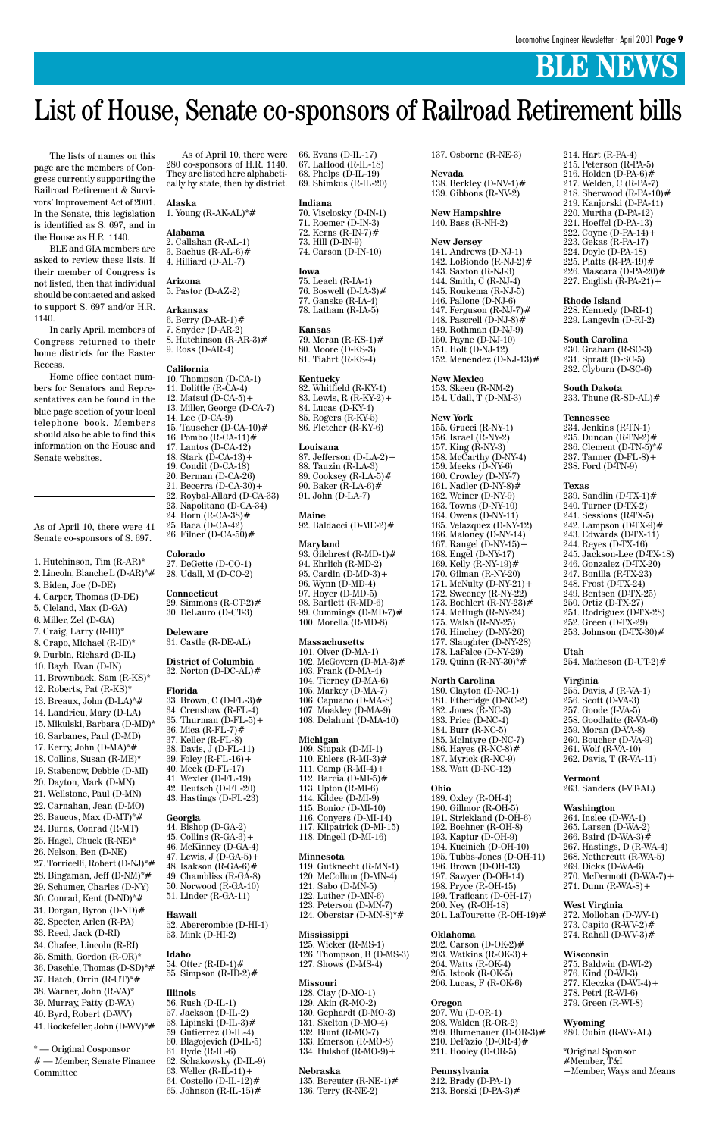As of April 10, there were 280 co-sponsors of H.R. 1140. They are listed here alphabetically by state, then by district.

#### **Alaska**

1. Young (R-AK-AL)\*#

#### **Alabama**

2. Callahan (R-AL-1) 3. Bachus (R-AL-6)# 4. Hilliard (D-AL-7)

**Arizona**

5. Pastor (D-AZ-2)

#### **Arkansas**

6. Berry (D-AR-1)# 7. Snyder (D-AR-2) 8. Hutchinson (R-AR-3)# 9. Ross (D-AR-4)

#### **California**

10. Thompson (D-CA-1) 11. Dolittle (R-CA-4) 12. Matsui (D-CA-5)+ 13. Miller, George (D-CA-7) 14. Lee (D-CA-9) 15. Tauscher (D-CA-10)# 16. Pombo (R-CA-11)# 17. Lantos (D-CA-12) 18. Stark  $(D-CA-13)+$ 19. Condit (D-CA-18) 20. Berman (D-CA-26) 21. Becerra (D-CA-30)+ 22. Roybal-Allard (D-CA-33) 23. Napolitano (D-CA-34) 24. Horn (R-CA-38)# 25. Baca (D-CA-42) 26. Filner (D-CA-50)#

56. Rush (D-IL-1) 57. Jackson (D-IL-2) 58. Lipinski (D-IL-3) $#$ 59. Gutierrez (D-IL-4) 60. Blagojevich (D-IL-5) 61. Hyde (R-IL-6) 62. Schakowsky (D-IL-9) 63. Weller  $(R-IL-11)$  + 64. Costello (D-IL-12)#

#### **Colorado**

27. DeGette (D-CO-1) 28. Udall, M (D-CO-2)

#### **Connecticut**

29. Simmons (R-CT-2)# 30. DeLauro (D-CT-3)

#### **Deleware**

31. Castle (R-DE-AL)

#### **District of Columbia** 32. Norton (D-DC-AL)#

#### **Florida**

33. Brown, C (D-FL-3)# 34. Crenshaw (R-FL-4) 35. Thurman  $(D-FL-5)+$ 36. Mica (R-FL-7)# 37. Keller (R-FL-8) 38. Davis, J (D-FL-11) 39. Foley (R-FL-16)+ 40. Meek (D-FL-17) 41. Wexler (D-FL-19) 42. Deutsch (D-FL-20) 43. Hastings (D-FL-23) **Georgia**

44. Bishop (D-GA-2) 45. Collins (R-GA-3)+ 46. McKinney (D-GA-4) 47. Lewis, J  $(D-GA-5)$  + 48. Isakson (R-GA-6) $#$ 49. Chambliss (R-GA-8) 50. Norwood (R-GA-10) 51. Linder (R-GA-11)

#### **Hawaii**

52. Abercrombie (D-HI-1) 53. Mink (D-HI-2)

#### **Idaho**

54. Otter (R-ID-1)# 55. Simpson (R-ID-2)# 119. Gutknecht (R-MN-1) 120. McCollum (D-MN-4) 121. Sabo (D-MN-5) 122. Luther  $(D-MN-6)$ 123. Peterson (D-MN-7) 124. Oberstar (D-MN-8)\* $#$ 

#### **Illinois**

65. Johnson (R-IL-15)#

66. Evans (D-IL-17) 67. LaHood (R-IL-18) 68. Phelps (D-IL-19) 69. Shimkus (R-IL-20)

#### **Indiana**

70. Visclosky (D-IN-1) 71. Roemer (D-IN-3) 72. Kerns (R-IN-7)# 73. Hill (D-IN-9) 74. Carson (D-IN-10)

#### **New Mexico** 153. Skeen (R-NM-2) 154. Udall,  $\dot{T}$  (D-NM-3)

#### **Iowa**

75. Leach (R-IA-1) 76. Boswell (D-IA-3)# 77. Ganske (R-IA-4) 78. Latham (R-IA-5)

#### **Kansas**

79. Moran (R-KS-1)# 80. Moore (D-KS-3) 81. Tiahrt (R-KS-4)

#### **Kentucky**

82. Whitfield (R-KY-1) 83. Lewis, R (R-KY-2)+ 84. Lucas (D-KY-4) 85. Rogers (R-KY-5) 86. Fletcher (R-KY-6)

#### **Louisana**

87. Jefferson (D-LA-2)+ 88. Tauzin (R-LA-3) 89. Cooksey (R-LA-5)# 90. Baker (R-LA-6)# 91. John (D-LA-7)

#### **Maine**

92. Baldacci (D-ME-2)#

#### **Maryland**

93. Gilchrest (R-MD-1)# 94. Ehrlich (R-MD-2) 95. Cardin (D-MD-3)+ 96. Wynn (D-MD-4) 97. Hoyer (D-MD-5) 98. Bartlett (R-MD-6) 99. Cummings (D-MD-7)# 100. Morella (R-MD-8)

#### **Massachusetts**

101. Olver (D-MA-1) 102. McGovern (D-MA-3)# 103. Frank (D-MA-4) 104. Tierney (D-MA-6) 105. Markey (D-MA-7) 106. Capuano (D-MA-8) 107. Moakley (D-MA-9) 108. Delahunt (D-MA-10)

#### **Michigan**

109. Stupak (D-MI-1) 110. Ehlers (R-MI-3)# 111. Camp (R-MI-4)+ 112. Barcia (D-MI-5)# 113. Upton (R-MI-6) 114. Kildee (D-MI-9) 115. Bonior (D-MI-10) 116. Conyers (D-MI-14) 117. Kilpatrick (D-MI-15) 118. Dingell (D-MI-16)

#### **Minnesota**

#### **Mississippi**

125. Wicker (R-MS-1) 126. Thompson, B (D-MS-3) 127. Shows (D-MS-4)

#### **Missouri**

266. Baird (D-WA-3)# 267. Hastings, D (R-WA-4) 268. Nethercutt (R-WA-5) 269. Dicks (D-WA-6) 270. McDermott (D-WA-7)+  $271.$  Dunn (R-WA-8) +

128. Clay (D-MO-1) 129. Akin (R-MO-2) 130. Gephardt (D-MO-3) 131. Skelton (D-MO-4) 132. Blunt (R-MO-7) 133. Emerson (R-MO-8) 134. Hulshof (R-MO-9)+ 272. Mollohan (D-WV-1) 273. Capito  $(R-WV-2)$ # 274. Rahall  $(D-WV-3)$ #

#### **Nebraska**

135. Bereuter (R-NE-1)# 136. Terry (R-NE-2)

#### 137. Osborne (R-NE-3)

#### **Nevada**

138. Berkley (D-NV-1)# 139. Gibbons (R-NV-2)

#### **New Hampshire** 140. Bass (R-NH-2)

**New Jersey** 141. Andrews (D-NJ-1) 142. LoBiondo (R-NJ-2)# 143. Saxton (R-NJ-3) 144. Smith, C (R-NJ-4) 145. Roukema (R-NJ-5) 146. Pallone (D-NJ-6) 147. Ferguson (R-NJ-7)# 148. Pascrell (D-NJ-8)# 149. Rothman (D-NJ-9) 150. Payne (D-NJ-10) 151. Holt (D-NJ-12)

152. Menendez (D-NJ-13)#

#### **New York**

155. Grucci (R-NY-1) 156. Israel (R-NY-2) 157. King (R-NY-3) 158. McCarthy (D-NY-4) 159. Meeks (D-NY-6) 160. Crowley (D-NY-7) 161. Nadler (D-NY-8)# 162. Weiner (D-NY-9) 163. Towns (D-NY-10) 164. Owens (D-NY-11) 165. Velazquez (D-NY-12) 166. Maloney (D-NY-14) 167. Rangel (D-NY-15)+ 168. Engel (D-NY-17) 169. Kelly (R-NY-19)# 170. Gilman (R-NY-20) 171. McNulty  $(D-NY-21)$  + 172. Sweeney (R-NY-22) 173. Boehlert (R-NY-23)# 174. McHugh (R-NY-24) 175. Walsh (R-NY-25) 176. Hinchey (D-NY-26) 177. Slaughter (D-NY-28) 178. LaFalce (D-NY-29) 179. Quinn (R-NY-30)\*#

#### **North Carolina**

180. Clayton (D-NC-1) 181. Etheridge (D-NC-2) 182. Jones (R-NC-3) 183. Price (D-NC-4) 184. Burr (R-NC-5) 185. McIntyre (D-NC-7) 186. Hayes (R-NC-8)# 187. Myrick (R-NC-9) 188. Watt (D-NC-12)

#### **Ohio**

189. Oxley (R-OH-4) 190. Gillmor (R-OH-5) 191. Strickland (D-OH-6) 192. Boehner (R-OH-8) 193. Kaptur (D-OH-9) 194. Kucinich (D-OH-10) 195. Tubbs-Jones (D-OH-11) 196. Brown (D-OH-13) 197. Sawyer (D-OH-14) 198. Pryce (R-OH-15) 199. Traficant (D-OH-17) 200. Ney (R-OH-18) 201. LaTourette (R-OH-19)#

#### **Oklahoma**

202. Carson (D-OK-2)# 203. Watkins (R-OK-3)+ 204. Watts (R-OK-4) 205. Istook (R-OK-5) 206. Lucas, F (R-OK-6)

#### **Oregon**

207. Wu (D-OR-1) 208. Walden (R-OR-2) 209. Blumenauer (D-OR-3)# 210. DeFazio (D-OR-4)# 211. Hooley (D-OR-5)

**Pennsylvania** 212. Brady (D-PA-1) 213. Borski (D-PA-3)#

#### 214. Hart (R-PA-4) 215. Peterson (R-PA-5) 216. Holden (D-PA-6)# 217. Welden, C (R-PA-7) 218. Sherwood  $(R-PA-10)$ # 219. Kanjorski (D-PA-11) 220. Murtha (D-PA-12) 221. Hoeffel (D-PA-13) 222. Coyne (D-PA-14)+ 223. Gekas (R-PA-17) 224. Doyle (D-PA-18) 225. Platts (R-PA-19)# 226. Mascara (D-PA-20)#

227. English  $(R-PA-21)$ +

#### **Rhode Island**

228. Kennedy (D-RI-1) 229. Langevin (D-RI-2)

#### **South Carolina**

230. Graham (R-SC-3) 231. Spratt (D-SC-5) 232. Clyburn (D-SC-6)

#### **South Dakota**

233. Thune (R-SD-AL)#

#### **Tennessee**

234. Jenkins (R-TN-1) 235. Duncan (R-TN-2)# 236. Clement (D-TN-5)\*# 237. Tanner (D-FL-8) + 238. Ford (D-TN-9)

#### **Texas**

239. Sandlin (D-TX-1)# 240. Turner  $(D-TX-2)$ 241. Sessions (R-TX-5) 242. Lampson (D-TX-9)# 243. Edwards (D-TX-11) 244. Reyes (D-TX-16) 245. Jackson-Lee (D-TX-18) 246. Gonzalez (D-TX-20) 247. Bonilla (R-TX-23) 248. Frost (D-TX-24) 249. Bentsen (D-TX-25) 250. Ortiz (D-TX-27) 251. Rodriguez (D-TX-28) 252. Green (D-TX-29) 253. Johnson (D-TX-30)#

#### **Utah**

254. Matheson (D-UT-2)#

#### **Virginia**

255. Davis, J (R-VA-1) 256. Scott (D-VA-3) 257. Goode (I-VA-5) 258. Goodlatte (R-VA-6) 259. Moran (D-VA-8) 260. Boucher (D-VA-9) 261. Wolf (R-VA-10) 262. Davis, T (R-VA-11)

**Vermont**

263. Sanders (I-VT-AL)

**Washington** 264. Inslee (D-WA-1) 265. Larsen (D-WA-2)

#### **West Virginia**

#### **Wisconsin**

275. Baldwin (D-WI-2) 276. Kind (D-WI-3) 277. Kleczka (D-WI-4)+ 278. Petri (R-WI-6) 279. Green (R-WI-8)

#### **Wyoming**

280. Cubin (R-WY-AL)

\*Original Sponsor #Member, T&I +Member, Ways and Means

As of April 10, there were 41 Senate co-sponsors of S. 697.

- 1. Hutchinson, Tim (R-AR)\*
- 2. Lincoln, Blanche L (D-AR)\*#
- 3. Biden, Joe (D-DE)
- 4. Carper, Thomas (D-DE) 5. Cleland, Max (D-GA)
- 
- 6. Miller, Zel (D-GA) 7. Craig, Larry (R-ID)\*
- 8. Crapo, Michael (R-ID)\*
- 9. Durbin, Richard (D-IL)
- 10. Bayh, Evan (D-IN)
- 11. Brownback, Sam (R-KS)\*
- 12. Roberts, Pat (R-KS)\*
- 13. Breaux, John (D-LA)\*#
- 14. Landrieu, Mary (D-LA)
- 15. Mikulski, Barbara (D-MD)\*
- 16. Sarbanes, Paul (D-MD)
- 17. Kerry, John (D-MA)\*#
- 18. Collins, Susan (R-ME)\*
- 19. Stabenow, Debbie (D-MI)
- 20. Dayton, Mark (D-MN) 21. Wellstone, Paul (D-MN)
- 22. Carnahan, Jean (D-MO)
- 23. Baucus, Max (D-MT)\*# 24. Burns, Conrad (R-MT)
- 

25. Hagel, Chuck (R-NE)\* 26. Nelson, Ben (D-NE) 27. Torricelli, Robert (D-NJ)\*# 28. Bingaman, Jeff (D-NM)\*# 29. Schumer, Charles (D-NY) 30. Conrad, Kent (D-ND)\*# 31. Dorgan, Byron (D-ND)# 32. Specter, Arlen (R-PA) 33. Reed, Jack (D-RI) 34. Chafee, Lincoln (R-RI) 35. Smith, Gordon (R-OR)\* 36. Daschle, Thomas (D-SD)\*# 37. Hatch, Orrin (R-UT)\*# 38. Warner, John (R-VA)\* 39. Murray, Patty (D-WA) 40. Byrd, Robert (D-WV) 41. Rockefeller, John (D-WV)\*#

\* — Original Cosponsor # — Member, Senate Finance Committee

### List of House, Senate co-sponsors of Railroad Retirement bills

The lists of names on this page are the members of Congress currently supporting the Railroad Retirement & Survivors' Improvement Act of 2001. In the Senate, this legislation is identified as S. 697, and in the House as H.R. 1140.

BLE and GIA members are asked to review these lists. If their member of Congress is not listed, then that individual should be contacted and asked to support S. 697 and/or H.R. 1140.

In early April, members of Congress returned to their home districts for the Easter Recess.

Home office contact numbers for Senators and Representatives can be found in the blue page section of your local telephone book. Members should also be able to find this information on the House and Senate websites.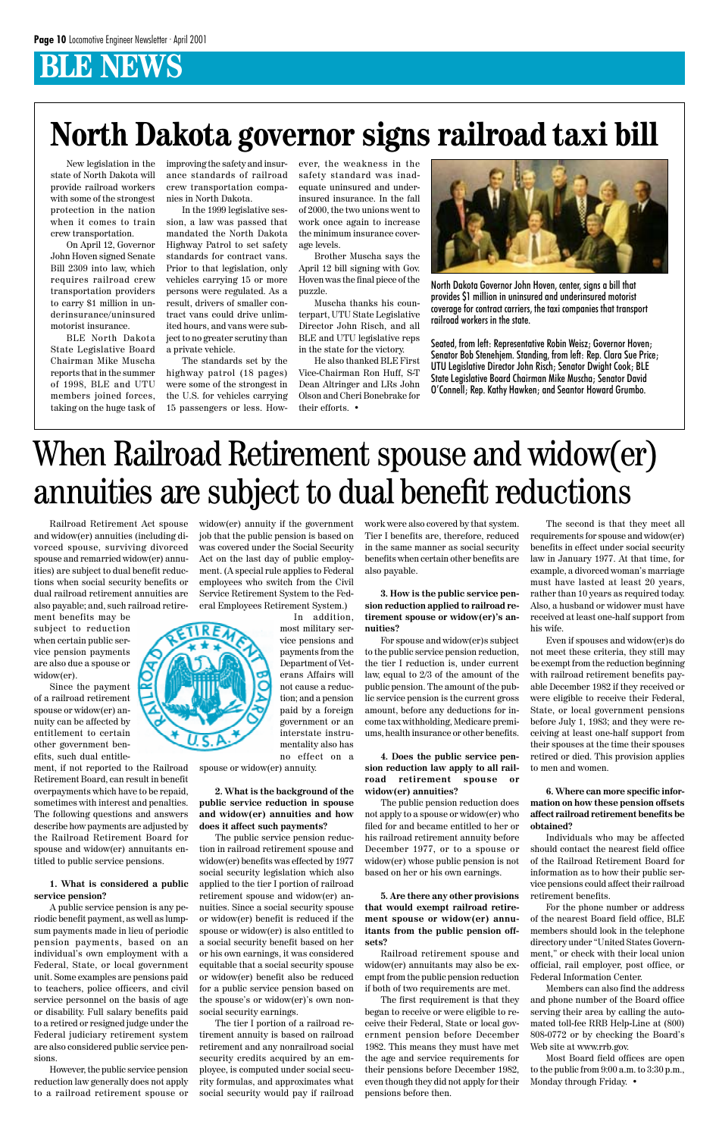Railroad Retirement Act spouse and widow(er) annuities (including divorced spouse, surviving divorced spouse and remarried widow(er) annuities) are subject to dual benefit reductions when social security benefits or dual railroad retirement annuities are also payable; and, such railroad retire-

ment benefits may be subject to reduction when certain public service pension payments are also due a spouse or widow(er).

Since the payment of a railroad retirement spouse or widow(er) annuity can be affected by entitlement to certain other government benefits, such dual entitle-

ment, if not reported to the Railroad Retirement Board, can result in benefit overpayments which have to be repaid, sometimes with interest and penalties. The following questions and answers describe how payments are adjusted by the Railroad Retirement Board for spouse and widow(er) annuitants entitled to public service pensions.

#### **1. What is considered a public service pension?**

A public service pension is any periodic benefit payment, as well as lumpsum payments made in lieu of periodic pension payments, based on an individual's own employment with a Federal, State, or local government unit. Some examples are pensions paid to teachers, police officers, and civil service personnel on the basis of age or disability. Full salary benefits paid to a retired or resigned judge under the Federal judiciary retirement system are also considered public service pensions.

However, the public service pension reduction law generally does not apply to a railroad retirement spouse or widow(er) annuity if the government job that the public pension is based on was covered under the Social Security Act on the last day of public employment. (A special rule applies to Federal employees who switch from the Civil Service Retirement System to the Federal Employees Retirement System.) In addition,

> most military service pensions and payments from the Department of Veterans Affairs will not cause a reduction; and a pension paid by a foreign government or an interstate instrumentality also has no effect on a

spouse or widow(er) annuity.

**2. What is the background of the public service reduction in spouse and widow(er) annuities and how does it affect such payments?** The public service pension reduction in railroad retirement spouse and widow(er) benefits was effected by 1977 social security legislation which also applied to the tier I portion of railroad retirement spouse and widow(er) annuities. Since a social security spouse or widow(er) benefit is reduced if the spouse or widow(er) is also entitled to a social security benefit based on her or his own earnings, it was considered equitable that a social security spouse or widow(er) benefit also be reduced for a public service pension based on the spouse's or widow(er)'s own nonsocial security earnings. The tier I portion of a railroad retirement annuity is based on railroad retirement and any nonrailroad social security credits acquired by an employee, is computed under social security formulas, and approximates what social security would pay if railroad work were also covered by that system. Tier I benefits are, therefore, reduced in the same manner as social security benefits when certain other benefits are also payable.

**3. How is the public service pension reduction applied to railroad retirement spouse or widow(er)'s annuities?**

For spouse and widow(er)s subject to the public service pension reduction, the tier I reduction is, under current law, equal to 2/3 of the amount of the public pension. The amount of the public service pension is the current gross amount, before any deductions for income tax withholding, Medicare premiums, health insurance or other benefits.

**4. Does the public service pension reduction law apply to all railroad retirement spouse or widow(er) annuities?**

The public pension reduction does not apply to a spouse or widow(er) who filed for and became entitled to her or

his railroad retirement annuity before December 1977, or to a spouse or widow(er) whose public pension is not based on her or his own earnings.

**5. Are there any other provisions that would exempt railroad retirement spouse or widow(er) annuitants from the public pension offsets?**

Railroad retirement spouse and widow(er) annuitants may also be exempt from the public pension reduction if both of two requirements are met.

The first requirement is that they began to receive or were eligible to receive their Federal, State or local government pension before December 1982. This means they must have met the age and service requirements for their pensions before December 1982, even though they did not apply for their pensions before then.

The second is that they meet all requirements for spouse and widow(er) benefits in effect under social security law in January 1977. At that time, for example, a divorced woman's marriage must have lasted at least 20 years, rather than 10 years as required today. Also, a husband or widower must have received at least one-half support from his wife.

Even if spouses and widow(er)s do not meet these criteria, they still may be exempt from the reduction beginning with railroad retirement benefits payable December 1982 if they received or were eligible to receive their Federal, State, or local government pensions before July 1, 1983; and they were receiving at least one-half support from their spouses at the time their spouses retired or died. This provision applies to men and women.

**6. Where can more specific information on how these pension offsets affect railroad retirement benefits be obtained?**

Individuals who may be affected should contact the nearest field office of the Railroad Retirement Board for information as to how their public service pensions could affect their railroad retirement benefits.



For the phone number or address of the nearest Board field office, BLE members should look in the telephone directory under "United States Government," or check with their local union official, rail employer, post office, or Federal Information Center.

Members can also find the address and phone number of the Board office serving their area by calling the automated toll-fee RRB Help-Line at (800) 808-0772 or by checking the Board's Web site at www.rrb.gov.

Most Board field offices are open to the public from 9:00 a.m. to 3:30 p.m., Monday through Friday. •

### When Railroad Retirement spouse and widow(er) annuities are subject to dual benefit reductions

### **North Dakota governor signs railroad taxi bill**

New legislation in the state of North Dakota will provide railroad workers with some of the strongest protection in the nation when it comes to train crew transportation.

On April 12, Governor John Hoven signed Senate Bill 2309 into law, which requires railroad crew transportation providers to carry \$1 million in underinsurance/uninsured motorist insurance.

BLE North Dakota State Legislative Board Chairman Mike Muscha reports that in the summer of 1998, BLE and UTU members joined forces, taking on the huge task of



North Dakota Governor John Hoven, center, signs a bill that provides \$1 million in uninsured and underinsured motorist coverage for contract carriers, the taxi companies that transport railroad workers in the state.

Seated, from left: Representative Robin Weisz; Governor Hoven; Senator Bob Stenehjem. Standing, from left: Rep. Clara Sue Price; UTU Legislative Director John Risch; Senator Dwight Cook; BLE State Legislative Board Chairman Mike Muscha; Senator David O'Connell; Rep. Kathy Hawken; and Seantor Howard Grumbo.

improving the safety and insurance standards of railroad crew transportation companies in North Dakota.

In the 1999 legislative session, a law was passed that mandated the North Dakota Highway Patrol to set safety standards for contract vans. Prior to that legislation, only vehicles carrying 15 or more persons were regulated. As a result, drivers of smaller contract vans could drive unlimited hours, and vans were subject to no greater scrutiny than a private vehicle.

The standards set by the highway patrol (18 pages) were some of the strongest in the U.S. for vehicles carrying 15 passengers or less. How-

ever, the weakness in the safety standard was inadequate uninsured and underinsured insurance. In the fall of 2000, the two unions went to work once again to increase the minimum insurance coverage levels.

Brother Muscha says the April 12 bill signing with Gov. Hoven was the final piece of the puzzle.

Muscha thanks his counterpart, UTU State Legislative Director John Risch, and all BLE and UTU legislative reps in the state for the victory.

He also thanked BLE First Vice-Chairman Ron Huff, S-T Dean Altringer and LRs John Olson and Cheri Bonebrake for their efforts. •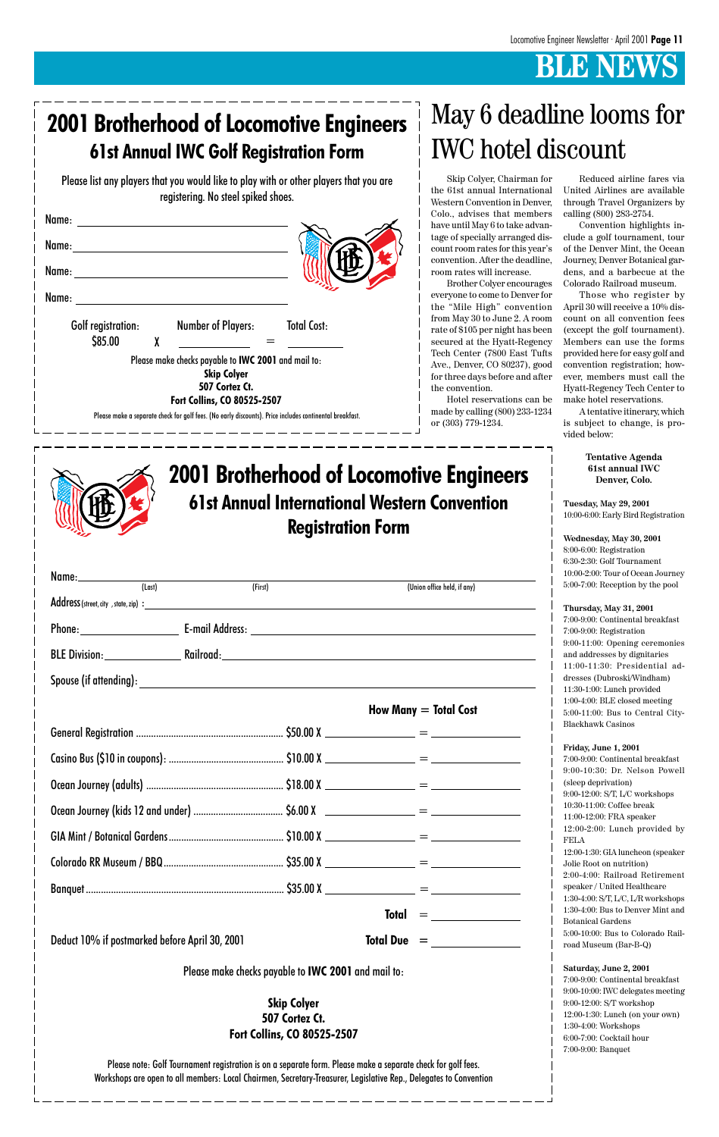| 2001 Brotherhood of Locomotive Engineers            |
|-----------------------------------------------------|
| <b>61st Annual International Western Convention</b> |
| <b>Registration Form</b>                            |

|  | Name: (Last) (Eirst)<br>(First) | (Union office held, if any) |
|--|---------------------------------|-----------------------------|
|  |                                 |                             |
|  |                                 |                             |
|  |                                 |                             |
|  |                                 |                             |
|  |                                 |                             |
|  |                                 | How Many = Total Cost       |
|  |                                 |                             |
|  |                                 |                             |
|  |                                 |                             |

| Name:<br>Name:<br>Name:       |   |                                                                                                                                   |                    |
|-------------------------------|---|-----------------------------------------------------------------------------------------------------------------------------------|--------------------|
| Name:                         |   |                                                                                                                                   |                    |
| Golf registration:<br>\$85.00 | X | <b>Number of Players:</b>                                                                                                         | <b>Total Cost:</b> |
|                               |   | Please make checks payable to <b>IWC 2001</b> and mail to:<br><b>Skip Colyer</b><br>507 Cortez Ct.<br>Fort Collins, CO 80525-2507 |                    |
|                               |   | Please make a separate check for golf fees. (No early discounts). Price includes continental breakfast.                           |                    |

### **2001 Brotherhood of Locomotive Engineers 61st Annual IWC Golf Registration Form**

Please list any players that you would like to play with or other players that you are registering. No steel spiked shoes.

### May 6 deadline looms for IWC hotel discount

Skip Colyer, Chairman for the 61st annual International Western Convention in Denver, Colo., advises that members have until May 6 to take advantage of specially arranged discount room rates for this year's convention. After the deadline, room rates will increase.

Brother Colyer encourages everyone to come to Denver for the "Mile High" convention from May 30 to June 2. A room rate of \$105 per night has been secured at the Hyatt-Regency Tech Center (7800 East Tufts Ave., Denver, CO 80237), good for three days before and after the convention.

Hotel reservations can be made by calling (800) 233-1234 or (303) 779-1234.



Reduced airline fares via United Airlines are available through Travel Organizers by calling (800) 283-2754.

Convention highlights include a golf tournament, tour of the Denver Mint, the Ocean Journey, Denver Botanical gardens, and a barbecue at the Colorado Railroad museum.

Those who register by April 30 will receive a 10% discount on all convention fees (except the golf tournament). Members can use the forms provided here for easy golf and convention registration; however, members must call the Hyatt-Regency Tech Center to make hotel reservations.

A tentative itinerary, which is subject to change, is provided below:

#### **Tentative Agenda 61st annual IWC Denver, Colo.**

**Tuesday, May 29, 2001** 10:00-6:00: Early Bird Registration

**Wednesday, May 30, 2001** 8:00-6:00: Registration 6:30-2:30: Golf Tournament 10:00-2:00: Tour of Ocean Journey 5:00-7:00: Reception by the pool

#### **Thursday, May 31, 2001** 7:00-9:00: Continental breakfast 7:00-9:00: Registration 9:00-11:00: Opening ceremonies and addresses by dignitaries

11:00-11:30: Presidential addresses (Dubroski/Windham) 11:30-1:00: Lunch provided 1:00-4:00: BLE closed meeting 5:00-11:00: Bus to Central City-Blackhawk Casinos

#### **Friday, June 1, 2001**

7:00-9:00: Continental breakfast 9:00-10:30: Dr. Nelson Powell (sleep deprivation) 9:00-12:00: S/T, L/C workshops 10:30-11:00: Coffee break 11:00-12:00: FRA speaker 12:00-2:00: Lunch provided by

### **BLE NEWS**